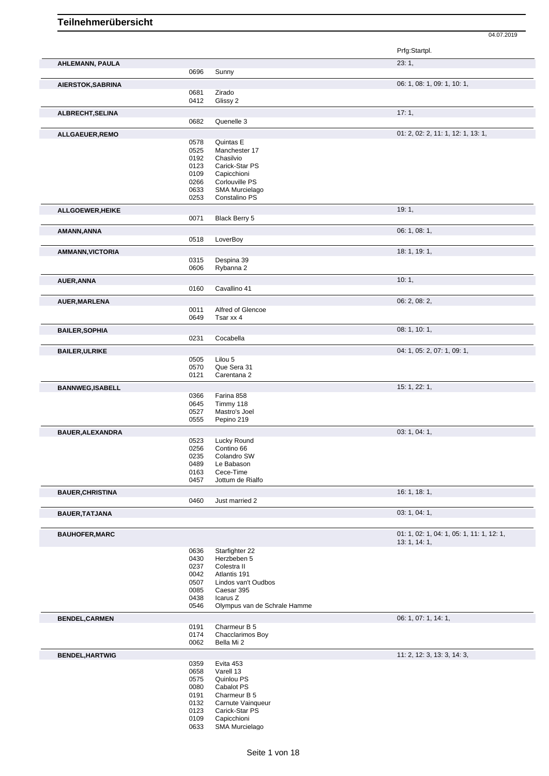|                         |              |                                          | Prfg:Startpl.                             |
|-------------------------|--------------|------------------------------------------|-------------------------------------------|
| <b>AHLEMANN, PAULA</b>  | 0696         | Sunny                                    | 23:1,                                     |
|                         |              |                                          |                                           |
| AIERSTOK, SABRINA       | 0681         | Zirado                                   | 06: 1, 08: 1, 09: 1, 10: 1,               |
|                         | 0412         | Glissy 2                                 |                                           |
| ALBRECHT, SELINA        |              |                                          | 17:1,                                     |
|                         | 0682         | Quenelle 3                               |                                           |
| ALLGAEUER, REMO         |              |                                          | 01: 2, 02: 2, 11: 1, 12: 1, 13: 1,        |
|                         | 0578         | Quintas E                                |                                           |
|                         | 0525         | Manchester 17                            |                                           |
|                         | 0192<br>0123 | Chasilvio<br>Carick-Star PS              |                                           |
|                         | 0109         | Capicchioni                              |                                           |
|                         | 0266         | Corlouville PS                           |                                           |
|                         | 0633         | SMA Murcielago<br>Constalino PS          |                                           |
|                         | 0253         |                                          |                                           |
| ALLGOEWER, HEIKE        |              |                                          | 19:1,                                     |
|                         | 0071         | Black Berry 5                            |                                           |
| AMANN, ANNA             |              |                                          | 06: 1, 08: 1,                             |
|                         | 0518         | LoverBoy                                 |                                           |
| <b>AMMANN, VICTORIA</b> |              |                                          | 18: 1, 19: 1,                             |
|                         | 0315<br>0606 | Despina 39<br>Rybanna 2                  |                                           |
| AUER, ANNA              |              |                                          | 10:1,                                     |
|                         | 0160         | Cavallino 41                             |                                           |
|                         |              |                                          | 06: 2, 08: 2,                             |
| <b>AUER, MARLENA</b>    | 0011         | Alfred of Glencoe                        |                                           |
|                         | 0649         | Tsar xx 4                                |                                           |
| <b>BAILER, SOPHIA</b>   |              |                                          | 08: 1, 10: 1,                             |
|                         | 0231         | Cocabella                                |                                           |
| <b>BAILER, ULRIKE</b>   |              |                                          | 04: 1, 05: 2, 07: 1, 09: 1,               |
|                         | 0505         | Lilou 5                                  |                                           |
|                         | 0570         | Que Sera 31                              |                                           |
|                         | 0121         | Carentana 2                              |                                           |
| <b>BANNWEG,ISABELL</b>  |              |                                          | 15: 1, 22: 1,                             |
|                         | 0366<br>0645 | Farina 858<br>Timmy 118                  |                                           |
|                         | 0527         | Mastro's Joel                            |                                           |
|                         | 0555         | Pepino 219                               |                                           |
| <b>BAUER, ALEXANDRA</b> |              |                                          | 03: 1, 04: 1,                             |
|                         | 0523         | Lucky Round                              |                                           |
|                         | 0256<br>0235 | Contino 66<br>Colandro SW                |                                           |
|                         | 0489         | Le Babason                               |                                           |
|                         | 0163         | Cece-Time                                |                                           |
|                         | 0457         | Jottum de Rialfo                         |                                           |
| <b>BAUER, CHRISTINA</b> |              |                                          | 16: 1, 18: 1,                             |
|                         | 0460         | Just married 2                           |                                           |
| <b>BAUER, TATJANA</b>   |              |                                          | 03: 1, 04: 1,                             |
| <b>BAUHOFER, MARC</b>   |              |                                          | 01: 1, 02: 1, 04: 1, 05: 1, 11: 1, 12: 1, |
|                         |              |                                          | 13: 1, 14: 1,                             |
|                         | 0636         | Starfighter 22                           |                                           |
|                         | 0430         | Herzbeben 5                              |                                           |
|                         | 0237<br>0042 | Colestra II<br>Atlantis 191              |                                           |
|                         | 0507         | Lindos van't Oudbos                      |                                           |
|                         | 0085         | Caesar 395                               |                                           |
|                         | 0438<br>0546 | Icarus Z<br>Olympus van de Schrale Hamme |                                           |
|                         |              |                                          | 06: 1, 07: 1, 14: 1,                      |
| <b>BENDEL, CARMEN</b>   | 0191         | Charmeur B 5                             |                                           |
|                         | 0174         | Chacclarimos Boy                         |                                           |
|                         | 0062         | Bella Mi 2                               |                                           |
| <b>BENDEL, HARTWIG</b>  |              |                                          | 11: 2, 12: 3, 13: 3, 14: 3,               |
|                         | 0359         | Evita 453                                |                                           |
|                         | 0658<br>0575 | Varell 13<br>Quinlou PS                  |                                           |
|                         | 0080         | Cabalot PS                               |                                           |
|                         | 0191         | Charmeur B 5                             |                                           |
|                         | 0132         | Carnute Vainqueur                        |                                           |
|                         | 0123<br>0109 | Carick-Star PS<br>Capicchioni            |                                           |
|                         | 0633         | SMA Murcielago                           |                                           |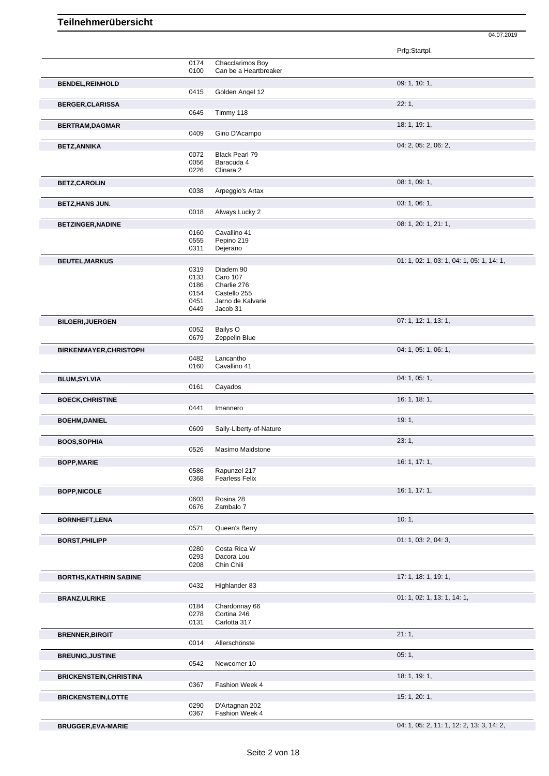|                                |              |                                    | Prfg:Startpl.                             |
|--------------------------------|--------------|------------------------------------|-------------------------------------------|
|                                | 0174         | Chacclarimos Boy                   |                                           |
|                                | 0100         | Can be a Heartbreaker              |                                           |
| <b>BENDEL, REINHOLD</b>        |              |                                    | 09: 1, 10: 1,                             |
|                                | 0415         | Golden Angel 12                    |                                           |
| <b>BERGER, CLARISSA</b>        |              |                                    | 22:1,                                     |
|                                | 0645         | Timmy 118                          |                                           |
|                                |              |                                    | 18: 1, 19: 1,                             |
| <b>BERTRAM, DAGMAR</b>         | 0409         | Gino D'Acampo                      |                                           |
|                                |              |                                    |                                           |
| <b>BETZ, ANNIKA</b>            |              |                                    | 04: 2, 05: 2, 06: 2,                      |
|                                | 0072         | <b>Black Pearl 79</b>              |                                           |
|                                | 0056<br>0226 | Baracuda 4<br>Clinara <sub>2</sub> |                                           |
|                                |              |                                    |                                           |
| <b>BETZ,CAROLIN</b>            |              |                                    | 08: 1, 09: 1,                             |
|                                | 0038         | Arpeggio's Artax                   |                                           |
| <b>BETZ, HANS JUN.</b>         |              |                                    | 03: 1, 06: 1,                             |
|                                | 0018         | Always Lucky 2                     |                                           |
| <b>BETZINGER, NADINE</b>       |              |                                    | 08: 1, 20: 1, 21: 1,                      |
|                                | 0160         | Cavallino 41                       |                                           |
|                                | 0555         | Pepino 219                         |                                           |
|                                | 0311         | Dejerano                           |                                           |
| <b>BEUTEL, MARKUS</b>          |              |                                    | 01: 1, 02: 1, 03: 1, 04: 1, 05: 1, 14: 1, |
|                                | 0319         | Diadem 90                          |                                           |
|                                | 0133         | Caro 107                           |                                           |
|                                | 0186         | Charlie 276                        |                                           |
|                                | 0154         | Castello 255                       |                                           |
|                                | 0451<br>0449 | Jarno de Kalvarie<br>Jacob 31      |                                           |
|                                |              |                                    |                                           |
| <b>BILGERI, JUERGEN</b>        |              |                                    | 07: 1, 12: 1, 13: 1,                      |
|                                | 0052         | Bailys O                           |                                           |
|                                | 0679         | Zeppelin Blue                      |                                           |
| <b>BIRKENMAYER, CHRISTOPH</b>  |              |                                    | 04: 1, 05: 1, 06: 1,                      |
|                                | 0482         | Lancantho                          |                                           |
|                                | 0160         | Cavallino 41                       |                                           |
| <b>BLUM, SYLVIA</b>            |              |                                    | 04: 1, 05: 1,                             |
|                                | 0161         | Cayados                            |                                           |
| <b>BOECK, CHRISTINE</b>        |              |                                    | 16: 1, 18: 1,                             |
|                                | 0441         | Imannero                           |                                           |
|                                |              |                                    | 19:1,                                     |
| <b>BOEHM, DANIEL</b>           | 0609         | Sally-Liberty-of-Nature            |                                           |
|                                |              |                                    |                                           |
| <b>BOOS, SOPHIA</b>            |              |                                    | 23:1,                                     |
|                                | 0526         | Masimo Maidstone                   |                                           |
| <b>BOPP, MARIE</b>             |              |                                    | 16: 1, 17: 1,                             |
|                                | 0586         | Rapunzel 217                       |                                           |
|                                | 0368         | <b>Fearless Felix</b>              |                                           |
| <b>BOPP, NICOLE</b>            |              |                                    | 16: 1, 17: 1,                             |
|                                | 0603         | Rosina 28                          |                                           |
|                                | 0676         | Zambalo 7                          |                                           |
| <b>BORNHEFT,LENA</b>           |              |                                    | 10:1,                                     |
|                                | 0571         | Queen's Berry                      |                                           |
|                                |              |                                    | 01: 1, 03: 2, 04: 3,                      |
| <b>BORST, PHILIPP</b>          | 0280         | Costa Rica W                       |                                           |
|                                | 0293         | Dacora Lou                         |                                           |
|                                | 0208         | Chin Chili                         |                                           |
| <b>BORTHS, KATHRIN SABINE</b>  |              |                                    | 17: 1, 18: 1, 19: 1,                      |
|                                | 0432         | Highlander 83                      |                                           |
|                                |              |                                    |                                           |
| <b>BRANZ, ULRIKE</b>           |              |                                    | 01: 1, 02: 1, 13: 1, 14: 1,               |
|                                | 0184<br>0278 | Chardonnay 66<br>Cortina 246       |                                           |
|                                | 0131         | Carlotta 317                       |                                           |
|                                |              |                                    |                                           |
| <b>BRENNER, BIRGIT</b>         |              |                                    | 21:1,                                     |
|                                | 0014         | Allerschönste                      |                                           |
| <b>BREUNIG, JUSTINE</b>        |              |                                    | 05:1,                                     |
|                                | 0542         | Newcomer 10                        |                                           |
| <b>BRICKENSTEIN, CHRISTINA</b> |              |                                    | 18: 1, 19: 1,                             |
|                                | 0367         | Fashion Week 4                     |                                           |
|                                |              |                                    |                                           |
| <b>BRICKENSTEIN,LOTTE</b>      | 0290         | D'Artagnan 202                     | 15: 1, 20: 1,                             |
|                                | 0367         | Fashion Week 4                     |                                           |
|                                |              |                                    |                                           |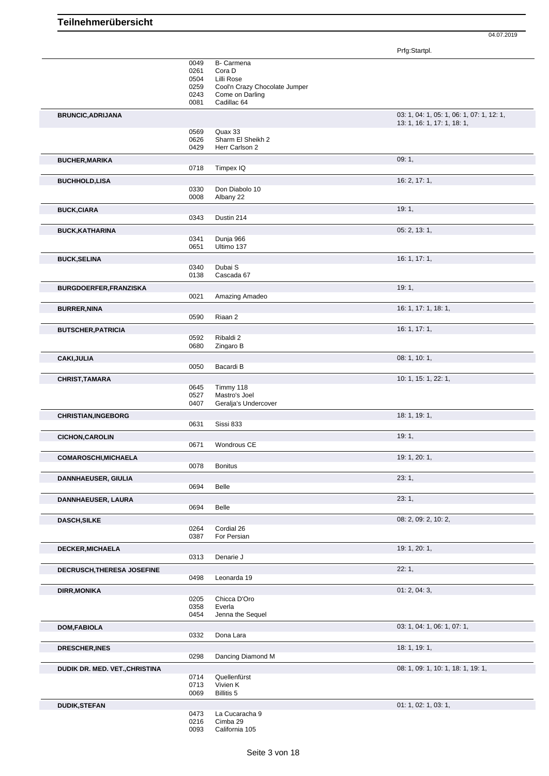Prfg:Startpl.

|                                | 0049<br>0261<br>0504<br>0259<br>0243<br>0081 | B- Carmena<br>Cora D<br>Lilli Rose<br>Cool'n Crazy Chocolate Jumper<br>Come on Darling<br>Cadillac <sub>64</sub> |                                                                          |
|--------------------------------|----------------------------------------------|------------------------------------------------------------------------------------------------------------------|--------------------------------------------------------------------------|
| <b>BRUNCIC, ADRIJANA</b>       |                                              |                                                                                                                  | 03: 1, 04: 1, 05: 1, 06: 1, 07: 1, 12: 1,<br>13: 1, 16: 1, 17: 1, 18: 1, |
|                                | 0569                                         | Quax 33                                                                                                          |                                                                          |
|                                | 0626<br>0429                                 | Sharm El Sheikh 2<br>Herr Carlson 2                                                                              |                                                                          |
| <b>BUCHER, MARIKA</b>          |                                              |                                                                                                                  | 09:1,                                                                    |
|                                | 0718                                         | Timpex IQ                                                                                                        |                                                                          |
| <b>BUCHHOLD,LISA</b>           | 0330<br>0008                                 | Don Diabolo 10<br>Albany 22                                                                                      | 16: 2, 17: 1,                                                            |
| <b>BUCK,CIARA</b>              | 0343                                         | Dustin 214                                                                                                       | 19:1,                                                                    |
|                                |                                              |                                                                                                                  |                                                                          |
| <b>BUCK, KATHARINA</b>         | 0341                                         | Dunja 966                                                                                                        | 05: 2, 13: 1,                                                            |
|                                | 0651                                         | Ultimo 137                                                                                                       |                                                                          |
| <b>BUCK, SELINA</b>            |                                              |                                                                                                                  | 16: 1, 17: 1,                                                            |
|                                | 0340                                         | Dubai S                                                                                                          |                                                                          |
|                                | 0138                                         | Cascada 67                                                                                                       |                                                                          |
| BURGDOERFER, FRANZISKA         |                                              |                                                                                                                  | 19:1,                                                                    |
|                                | 0021                                         | Amazing Amadeo                                                                                                   |                                                                          |
| <b>BURRER, NINA</b>            |                                              |                                                                                                                  | 16: 1, 17: 1, 18: 1,                                                     |
|                                | 0590                                         | Riaan 2                                                                                                          |                                                                          |
| <b>BUTSCHER, PATRICIA</b>      |                                              |                                                                                                                  | 16: 1, 17: 1,                                                            |
|                                | 0592<br>0680                                 | Ribaldi 2<br>Zingaro B                                                                                           |                                                                          |
|                                |                                              |                                                                                                                  | 08: 1, 10: 1,                                                            |
| <b>CAKI, JULIA</b>             | 0050                                         | Bacardi B                                                                                                        |                                                                          |
|                                |                                              |                                                                                                                  | 10: 1, 15: 1, 22: 1,                                                     |
| <b>CHRIST, TAMARA</b>          | 0645                                         | Timmy 118                                                                                                        |                                                                          |
|                                | 0527                                         | Mastro's Joel                                                                                                    |                                                                          |
|                                | 0407                                         | Geralja's Undercover                                                                                             |                                                                          |
| <b>CHRISTIAN, INGEBORG</b>     |                                              |                                                                                                                  | 18: 1, 19: 1,                                                            |
|                                | 0631                                         | Sissi 833                                                                                                        |                                                                          |
| <b>CICHON, CAROLIN</b>         |                                              |                                                                                                                  | 19:1,                                                                    |
|                                | 0671                                         | Wondrous CE                                                                                                      |                                                                          |
| <b>COMAROSCHI, MICHAELA</b>    |                                              |                                                                                                                  | 19: 1, 20: 1,                                                            |
|                                | 0078                                         | <b>Bonitus</b>                                                                                                   |                                                                          |
| <b>DANNHAEUSER, GIULIA</b>     |                                              |                                                                                                                  | 23:1,                                                                    |
|                                | 0694                                         | Belle                                                                                                            |                                                                          |
| DANNHAEUSER, LAURA             |                                              |                                                                                                                  | 23:1,                                                                    |
|                                | 0694                                         | Belle                                                                                                            |                                                                          |
| <b>DASCH, SILKE</b>            | 0264                                         | Cordial 26                                                                                                       | 08: 2, 09: 2, 10: 2,                                                     |
|                                | 0387                                         | For Persian                                                                                                      |                                                                          |
| DECKER, MICHAELA               |                                              |                                                                                                                  | 19: 1, 20: 1,                                                            |
|                                | 0313                                         | Denarie J                                                                                                        |                                                                          |
| DECRUSCH, THERESA JOSEFINE     |                                              |                                                                                                                  | 22:1,                                                                    |
|                                | 0498                                         | Leonarda 19                                                                                                      |                                                                          |
| <b>DIRR, MONIKA</b>            |                                              |                                                                                                                  | 01: 2, 04: 3,                                                            |
|                                | 0205                                         | Chicca D'Oro                                                                                                     |                                                                          |
|                                | 0358<br>0454                                 | Everla<br>Jenna the Sequel                                                                                       |                                                                          |
|                                |                                              |                                                                                                                  |                                                                          |
| <b>DOM, FABIOLA</b>            | 0332                                         | Dona Lara                                                                                                        | 03: 1, 04: 1, 06: 1, 07: 1,                                              |
|                                |                                              |                                                                                                                  |                                                                          |
| DRESCHER, INES                 | 0298                                         | Dancing Diamond M                                                                                                | 18: 1, 19: 1,                                                            |
|                                |                                              |                                                                                                                  |                                                                          |
| DUDIK DR. MED. VET., CHRISTINA | 0714                                         | Quellenfürst                                                                                                     | 08: 1, 09: 1, 10: 1, 18: 1, 19: 1,                                       |
|                                | 0713                                         | Vivien K                                                                                                         |                                                                          |
|                                | 0069                                         | <b>Billitis 5</b>                                                                                                |                                                                          |
| <b>DUDIK,STEFAN</b>            |                                              |                                                                                                                  | 01: 1, 02: 1, 03: 1,                                                     |
|                                | 0473                                         | La Cucaracha 9                                                                                                   |                                                                          |
|                                | 0216<br>0093                                 | Cimba 29<br>California 105                                                                                       |                                                                          |
|                                |                                              |                                                                                                                  |                                                                          |

Seite 3 von 18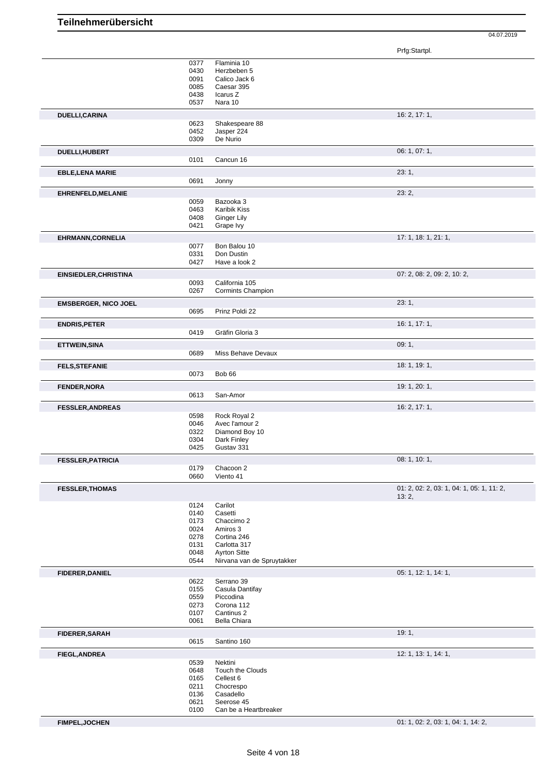|                              |              |                                | Prfg:Startpl.                             |
|------------------------------|--------------|--------------------------------|-------------------------------------------|
|                              | 0377         | Flaminia 10                    |                                           |
|                              | 0430         | Herzbeben 5                    |                                           |
|                              | 0091         | Calico Jack 6                  |                                           |
|                              | 0085         | Caesar 395                     |                                           |
|                              | 0438         | Icarus Z                       |                                           |
|                              | 0537         | Nara 10                        |                                           |
| DUELLI, CARINA               |              |                                | 16: 2, 17: 1,                             |
|                              | 0623         | Shakespeare 88                 |                                           |
|                              | 0452         | Jasper 224                     |                                           |
|                              | 0309         | De Nurio                       |                                           |
| DUELLI, HUBERT               |              |                                | 06: 1, 07: 1,                             |
|                              | 0101         | Cancun 16                      |                                           |
|                              |              |                                | 23:1,                                     |
| <b>EBLE,LENA MARIE</b>       | 0691         | Jonny                          |                                           |
|                              |              |                                |                                           |
| EHRENFELD, MELANIE           |              |                                | 23:2,                                     |
|                              | 0059         | Bazooka 3                      |                                           |
|                              | 0463         | Karibik Kiss                   |                                           |
|                              | 0408         | Ginger Lily                    |                                           |
|                              | 0421         | Grape Ivy                      |                                           |
| <b>EHRMANN, CORNELIA</b>     |              |                                | 17: 1, 18: 1, 21: 1,                      |
|                              | 0077         | Bon Balou 10                   |                                           |
|                              | 0331         | Don Dustin                     |                                           |
|                              | 0427         | Have a look 2                  |                                           |
| <b>EINSIEDLER, CHRISTINA</b> |              |                                | 07: 2, 08: 2, 09: 2, 10: 2,               |
|                              | 0093         | California 105                 |                                           |
|                              | 0267         | Cormints Champion              |                                           |
| <b>EMSBERGER, NICO JOEL</b>  |              |                                | 23:1,                                     |
|                              | 0695         | Prinz Poldi 22                 |                                           |
| <b>ENDRIS, PETER</b>         |              |                                | 16: 1, 17: 1,                             |
|                              | 0419         | Gräfin Gloria 3                |                                           |
|                              |              |                                |                                           |
| ETTWEIN, SINA                | 0689         | Miss Behave Devaux             | 09:1,                                     |
|                              |              |                                |                                           |
| <b>FELS, STEFANIE</b>        |              |                                | 18: 1, 19: 1,                             |
|                              | 0073         | Bob <sub>66</sub>              |                                           |
| <b>FENDER, NORA</b>          |              |                                | 19: 1, 20: 1,                             |
|                              | 0613         | San-Amor                       |                                           |
|                              |              |                                | 16: 2, 17: 1,                             |
| <b>FESSLER, ANDREAS</b>      |              |                                |                                           |
|                              | 0598<br>0046 | Rock Royal 2<br>Avec l'amour 2 |                                           |
|                              | 0322         | Diamond Boy 10                 |                                           |
|                              | 0304         | Dark Finley                    |                                           |
|                              | 0425         | Gustav 331                     |                                           |
|                              |              |                                |                                           |
| <b>FESSLER, PATRICIA</b>     |              |                                | 08: 1, 10: 1,                             |
|                              | 0179<br>0660 | Chacoon 2<br>Viento 41         |                                           |
|                              |              |                                |                                           |
| <b>FESSLER, THOMAS</b>       |              |                                | 01: 2, 02: 2, 03: 1, 04: 1, 05: 1, 11: 2, |
|                              |              |                                | 13:2,                                     |
|                              | 0124<br>0140 | Carilot<br>Casetti             |                                           |
|                              | 0173         | Chaccimo 2                     |                                           |
|                              | 0024         | Amiros 3                       |                                           |
|                              | 0278         | Cortina 246                    |                                           |
|                              | 0131         | Carlotta 317                   |                                           |
|                              | 0048         | <b>Ayrton Sitte</b>            |                                           |
|                              | 0544         | Nirvana van de Spruytakker     |                                           |
| <b>FIDERER, DANIEL</b>       |              |                                | 05: 1, 12: 1, 14: 1,                      |
|                              | 0622         | Serrano 39                     |                                           |
|                              | 0155         | Casula Dantifay                |                                           |
|                              | 0559         | Piccodina                      |                                           |
|                              | 0273         | Corona 112                     |                                           |
|                              | 0107         | Cantinus 2                     |                                           |
|                              | 0061         | Bella Chiara                   |                                           |
| <b>FIDERER, SARAH</b>        |              |                                | 19:1,                                     |
|                              | 0615         | Santino 160                    |                                           |
|                              |              |                                |                                           |
| <b>FIEGL, ANDREA</b>         |              |                                | 12: 1, 13: 1, 14: 1,                      |
|                              | 0539<br>0648 | Nektini<br>Touch the Clouds    |                                           |
|                              | 0165         | Cellest 6                      |                                           |
|                              | 0211         | Chocrespo                      |                                           |
|                              | 0136         | Casadello                      |                                           |
|                              | 0621         | Seerose 45                     |                                           |
|                              | 0100         | Can be a Heartbreaker          |                                           |
|                              |              |                                |                                           |
| <b>FIMPEL, JOCHEN</b>        |              |                                | 01: 1, 02: 2, 03: 1, 04: 1, 14: 2,        |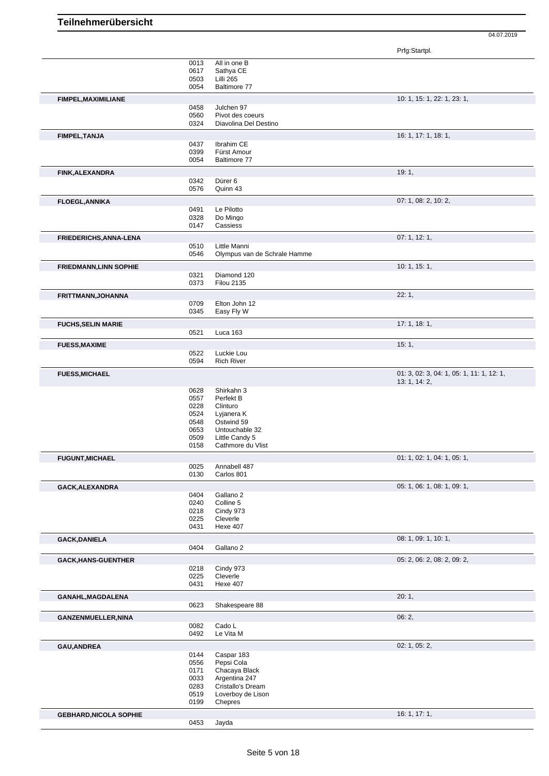|                               |              |                                        | Prfg:Startpl.                             |
|-------------------------------|--------------|----------------------------------------|-------------------------------------------|
|                               | 0013         | All in one B                           |                                           |
|                               | 0617<br>0503 | Sathya CE<br>Lilli 265                 |                                           |
|                               | 0054         | Baltimore 77                           |                                           |
| FIMPEL, MAXIMILIANE           |              |                                        | 10: 1, 15: 1, 22: 1, 23: 1,               |
|                               | 0458         | Julchen 97                             |                                           |
|                               | 0560         | Pivot des coeurs                       |                                           |
|                               | 0324         | Diavolina Del Destino                  |                                           |
| FIMPEL, TANJA                 |              |                                        | 16: 1, 17: 1, 18: 1,                      |
|                               | 0437<br>0399 | Ibrahim CE<br>Fürst Amour              |                                           |
|                               | 0054         | Baltimore 77                           |                                           |
| <b>FINK, ALEXANDRA</b>        |              |                                        | 19:1,                                     |
|                               | 0342         | Dürer 6                                |                                           |
|                               | 0576         | Quinn 43                               |                                           |
| <b>FLOEGL, ANNIKA</b>         |              |                                        | 07: 1, 08: 2, 10: 2,                      |
|                               | 0491         | Le Pilotto                             |                                           |
|                               | 0328<br>0147 | Do Mingo<br>Cassiess                   |                                           |
| FRIEDERICHS, ANNA-LENA        |              |                                        | 07: 1, 12: 1,                             |
|                               | 0510         | Little Manni                           |                                           |
|                               | 0546         | Olympus van de Schrale Hamme           |                                           |
| <b>FRIEDMANN, LINN SOPHIE</b> |              |                                        | 10: 1, 15: 1,                             |
|                               | 0321         | Diamond 120                            |                                           |
|                               | 0373         | <b>Filou 2135</b>                      |                                           |
| FRITTMANN, JOHANNA            |              |                                        | 22:1,                                     |
|                               | 0709<br>0345 | Elton John 12<br>Easy Fly W            |                                           |
|                               |              |                                        | 17:1, 18:1,                               |
| <b>FUCHS, SELIN MARIE</b>     | 0521         | Luca 163                               |                                           |
|                               |              |                                        | 15:1,                                     |
| <b>FUESS, MAXIME</b>          | 0522         | Luckie Lou                             |                                           |
|                               | 0594         | <b>Rich River</b>                      |                                           |
| <b>FUESS, MICHAEL</b>         |              |                                        | 01: 3, 02: 3, 04: 1, 05: 1, 11: 1, 12: 1, |
|                               |              |                                        | 13: 1, 14: 2,                             |
|                               | 0628         | Shirkahn 3                             |                                           |
|                               | 0557<br>0228 | Perfekt B<br>Clinturo                  |                                           |
|                               | 0524         | Lyjanera K                             |                                           |
|                               | 0548         | Ostwind 59                             |                                           |
|                               | 0653<br>0509 | Untouchable 32<br>Little Candy 5       |                                           |
|                               | 0158         | Cathmore du Vlist                      |                                           |
| <b>FUGUNT, MICHAEL</b>        |              |                                        | 01: 1, 02: 1, 04: 1, 05: 1,               |
|                               | 0025         | Annabell 487                           |                                           |
|                               | 0130         | Carlos 801                             |                                           |
| GACK, ALEXANDRA               |              |                                        | 05: 1, 06: 1, 08: 1, 09: 1,               |
|                               | 0404<br>0240 | Gallano <sub>2</sub><br>Colline 5      |                                           |
|                               | 0218         | Cindy 973                              |                                           |
|                               | 0225         | Cleverle                               |                                           |
|                               | 0431         | <b>Hexe 407</b>                        |                                           |
| <b>GACK, DANIELA</b>          |              |                                        | 08: 1, 09: 1, 10: 1,                      |
|                               | 0404         | Gallano 2                              |                                           |
| <b>GACK, HANS-GUENTHER</b>    |              |                                        | 05: 2, 06: 2, 08: 2, 09: 2,               |
|                               | 0218<br>0225 | Cindy 973<br>Cleverle                  |                                           |
|                               | 0431         | <b>Hexe 407</b>                        |                                           |
| GANAHL, MAGDALENA             |              |                                        | 20:1,                                     |
|                               | 0623         | Shakespeare 88                         |                                           |
| GANZENMUELLER, NINA           |              |                                        | 06:2,                                     |
|                               | 0082         | Cado L                                 |                                           |
|                               | 0492         | Le Vita M                              |                                           |
| GAU, ANDREA                   |              |                                        | 02: 1, 05: 2,                             |
|                               | 0144         | Caspar 183                             |                                           |
|                               | 0556<br>0171 | Pepsi Cola<br>Chacaya Black            |                                           |
|                               | 0033         | Argentina 247                          |                                           |
|                               | 0283<br>0519 | Cristallo's Dream<br>Loverboy de Lison |                                           |
|                               | 0199         | Chepres                                |                                           |
|                               |              |                                        | 16: 1, 17: 1,                             |
| <b>GEBHARD, NICOLA SOPHIE</b> | 0453         | Jayda                                  |                                           |
|                               |              |                                        |                                           |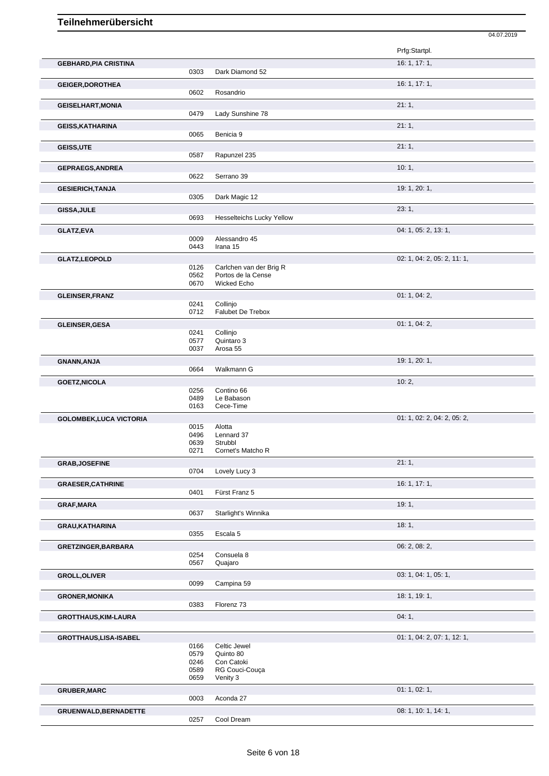|                                |              |                                   | 04.07.2019                  |
|--------------------------------|--------------|-----------------------------------|-----------------------------|
|                                |              |                                   | Prfg:Startpl.               |
| <b>GEBHARD, PIA CRISTINA</b>   | 0303         | Dark Diamond 52                   | 16: 1, 17: 1,               |
|                                |              |                                   | 16: 1, 17: 1,               |
| <b>GEIGER, DOROTHEA</b>        | 0602         | Rosandrio                         |                             |
| <b>GEISELHART, MONIA</b>       |              |                                   | 21:1,                       |
|                                | 0479         | Lady Sunshine 78                  |                             |
| <b>GEISS, KATHARINA</b>        |              |                                   | 21:1,                       |
|                                | 0065         | Benicia 9                         |                             |
| GEISS, UTE                     | 0587         | Rapunzel 235                      | 21:1,                       |
| <b>GEPRAEGS, ANDREA</b>        |              |                                   | 10:1,                       |
|                                | 0622         | Serrano 39                        |                             |
| <b>GESIERICH, TANJA</b>        |              |                                   | 19: 1, 20: 1,               |
|                                | 0305         | Dark Magic 12                     |                             |
| GISSA, JULE                    |              |                                   | 23:1,                       |
|                                | 0693         | <b>Hesselteichs Lucky Yellow</b>  |                             |
| <b>GLATZ,EVA</b>               |              |                                   | 04: 1, 05: 2, 13: 1,        |
|                                | 0009<br>0443 | Alessandro 45<br>Irana 15         |                             |
| GLATZ,LEOPOLD                  |              |                                   | 02: 1, 04: 2, 05: 2, 11: 1, |
|                                | 0126         | Carlchen van der Brig R           |                             |
|                                | 0562<br>0670 | Portos de la Cense<br>Wicked Echo |                             |
|                                |              |                                   | 01: 1, 04: 2,               |
| <b>GLEINSER, FRANZ</b>         | 0241         | Collinjo                          |                             |
|                                | 0712         | Falubet De Trebox                 |                             |
| <b>GLEINSER, GESA</b>          |              |                                   | 01: 1, 04: 2,               |
|                                | 0241<br>0577 | Collinjo<br>Quintaro 3            |                             |
|                                | 0037         | Arosa 55                          |                             |
| <b>GNANN, ANJA</b>             |              |                                   | 19: 1, 20: 1,               |
|                                | 0664         | Walkmann G                        |                             |
| <b>GOETZ, NICOLA</b>           |              |                                   | 10:2,                       |
|                                | 0256<br>0489 | Contino 66<br>Le Babason          |                             |
|                                | 0163         | Cece-Time                         |                             |
| <b>GOLOMBEK, LUCA VICTORIA</b> |              |                                   | 01: 1, 02: 2, 04: 2, 05: 2, |
|                                | 0015         | Alotta                            |                             |
|                                | 0496<br>0639 | Lennard 37<br>Strubbl             |                             |
|                                | 0271         | Cornet's Matcho R                 |                             |
| <b>GRAB, JOSEFINE</b>          |              |                                   | 21:1,                       |
|                                | 0704         | Lovely Lucy 3                     |                             |
| <b>GRAESER, CATHRINE</b>       | 0401         | Fürst Franz 5                     | 16: 1, 17: 1,               |
|                                |              |                                   |                             |
| <b>GRAF, MARA</b>              | 0637         | Starlight's Winnika               | 19:1,                       |
| <b>GRAU, KATHARINA</b>         |              |                                   | 18:1,                       |
|                                | 0355         | Escala 5                          |                             |
| GRETZINGER, BARBARA            |              |                                   | 06: 2, 08: 2,               |
|                                | 0254         | Consuela 8                        |                             |
|                                | 0567         | Quajaro                           |                             |
| <b>GROLL, OLIVER</b>           | 0099         | Campina 59                        | 03: 1, 04: 1, 05: 1,        |
|                                |              |                                   |                             |
| <b>GRONER, MONIKA</b>          | 0383         | Florenz 73                        | 18: 1, 19: 1,               |
| <b>GROTTHAUS, KIM-LAURA</b>    |              |                                   | 04:1,                       |
|                                |              |                                   |                             |
| GROTTHAUS,LISA-ISABEL          |              |                                   | 01: 1, 04: 2, 07: 1, 12: 1, |
|                                | 0166         | Celtic Jewel                      |                             |
|                                | 0579<br>0246 | Quinto 80<br>Con Catoki           |                             |
|                                | 0589         | RG Couci-Couça                    |                             |
|                                | 0659         | Venity 3                          |                             |
| <b>GRUBER, MARC</b>            |              |                                   | 01: 1, 02: 1,               |
|                                | 0003         | Aconda 27                         |                             |
| GRUENWALD, BERNADETTE          |              |                                   | 08: 1, 10: 1, 14: 1,        |
|                                | 0257         | Cool Dream                        |                             |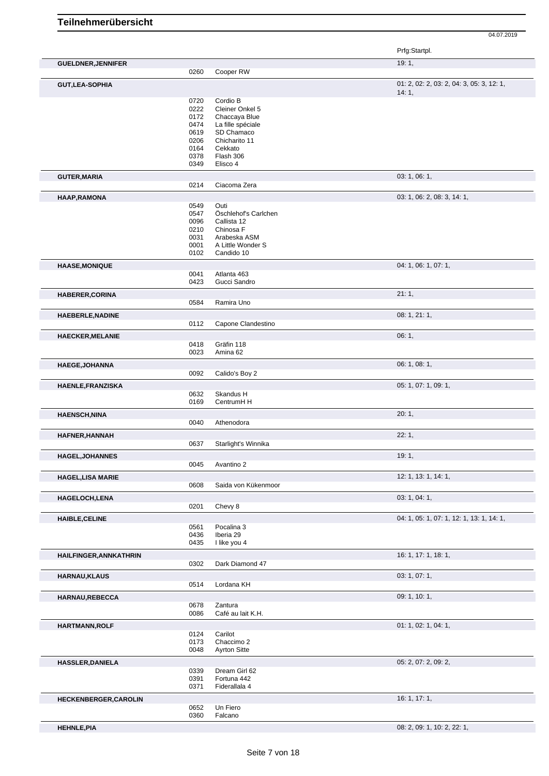04.07.2019

| 19:1,<br><b>GUELDNER, JENNIFER</b><br>0260<br>Cooper RW<br>14:1,<br>0720<br>Cordio B<br>0222<br>Cleiner Onkel 5<br>0172<br>Chaccaya Blue<br>La fille spéciale<br>0474<br>SD Chamaco<br>0619<br>0206<br>Chicharito 11<br>0164<br>Cekkato<br>0378<br>Flash 306<br>Elisco 4<br>0349<br>03: 1, 06: 1,<br>Ciacoma Zera<br>0214<br>03: 1, 06: 2, 08: 3, 14: 1,<br>0549<br>Outi<br>0547<br>Öschlehof's Carlchen<br>0096<br>Callista 12<br>0210<br>Chinosa F<br>0031<br>Arabeska ASM<br>0001<br>A Little Wonder S<br>0102<br>Candido 10<br>04: 1, 06: 1, 07: 1,<br>0041<br>Atlanta 463<br>0423<br>Gucci Sandro<br>21:1,<br>0584<br>Ramira Uno<br>08: 1, 21: 1,<br>Capone Clandestino<br>0112<br>06:1, | 01: 2, 02: 2, 03: 2, 04: 3, 05: 3, 12: 1, |
|-----------------------------------------------------------------------------------------------------------------------------------------------------------------------------------------------------------------------------------------------------------------------------------------------------------------------------------------------------------------------------------------------------------------------------------------------------------------------------------------------------------------------------------------------------------------------------------------------------------------------------------------------------------------------------------------------|-------------------------------------------|
| <b>GUT, LEA-SOPHIA</b>                                                                                                                                                                                                                                                                                                                                                                                                                                                                                                                                                                                                                                                                        |                                           |
|                                                                                                                                                                                                                                                                                                                                                                                                                                                                                                                                                                                                                                                                                               |                                           |
|                                                                                                                                                                                                                                                                                                                                                                                                                                                                                                                                                                                                                                                                                               |                                           |
|                                                                                                                                                                                                                                                                                                                                                                                                                                                                                                                                                                                                                                                                                               |                                           |
| <b>GUTER, MARIA</b><br>HAAP, RAMONA<br><b>HAASE, MONIQUE</b><br>HABERER, CORINA<br><b>HAEBERLE, NADINE</b><br><b>HAECKER, MELANIE</b>                                                                                                                                                                                                                                                                                                                                                                                                                                                                                                                                                         |                                           |
|                                                                                                                                                                                                                                                                                                                                                                                                                                                                                                                                                                                                                                                                                               |                                           |
|                                                                                                                                                                                                                                                                                                                                                                                                                                                                                                                                                                                                                                                                                               |                                           |
|                                                                                                                                                                                                                                                                                                                                                                                                                                                                                                                                                                                                                                                                                               |                                           |
|                                                                                                                                                                                                                                                                                                                                                                                                                                                                                                                                                                                                                                                                                               |                                           |
|                                                                                                                                                                                                                                                                                                                                                                                                                                                                                                                                                                                                                                                                                               |                                           |
|                                                                                                                                                                                                                                                                                                                                                                                                                                                                                                                                                                                                                                                                                               |                                           |
|                                                                                                                                                                                                                                                                                                                                                                                                                                                                                                                                                                                                                                                                                               |                                           |
|                                                                                                                                                                                                                                                                                                                                                                                                                                                                                                                                                                                                                                                                                               |                                           |
|                                                                                                                                                                                                                                                                                                                                                                                                                                                                                                                                                                                                                                                                                               |                                           |
|                                                                                                                                                                                                                                                                                                                                                                                                                                                                                                                                                                                                                                                                                               |                                           |
|                                                                                                                                                                                                                                                                                                                                                                                                                                                                                                                                                                                                                                                                                               |                                           |
|                                                                                                                                                                                                                                                                                                                                                                                                                                                                                                                                                                                                                                                                                               |                                           |
|                                                                                                                                                                                                                                                                                                                                                                                                                                                                                                                                                                                                                                                                                               |                                           |
|                                                                                                                                                                                                                                                                                                                                                                                                                                                                                                                                                                                                                                                                                               |                                           |
|                                                                                                                                                                                                                                                                                                                                                                                                                                                                                                                                                                                                                                                                                               |                                           |
|                                                                                                                                                                                                                                                                                                                                                                                                                                                                                                                                                                                                                                                                                               |                                           |
|                                                                                                                                                                                                                                                                                                                                                                                                                                                                                                                                                                                                                                                                                               |                                           |
|                                                                                                                                                                                                                                                                                                                                                                                                                                                                                                                                                                                                                                                                                               |                                           |
|                                                                                                                                                                                                                                                                                                                                                                                                                                                                                                                                                                                                                                                                                               |                                           |
|                                                                                                                                                                                                                                                                                                                                                                                                                                                                                                                                                                                                                                                                                               |                                           |
|                                                                                                                                                                                                                                                                                                                                                                                                                                                                                                                                                                                                                                                                                               |                                           |
|                                                                                                                                                                                                                                                                                                                                                                                                                                                                                                                                                                                                                                                                                               |                                           |
| 0418<br>Gräfin 118                                                                                                                                                                                                                                                                                                                                                                                                                                                                                                                                                                                                                                                                            |                                           |
| 0023<br>Amina 62                                                                                                                                                                                                                                                                                                                                                                                                                                                                                                                                                                                                                                                                              |                                           |
| 06: 1, 08: 1,<br>HAEGE, JOHANNA                                                                                                                                                                                                                                                                                                                                                                                                                                                                                                                                                                                                                                                               |                                           |
| 0092<br>Calido's Boy 2                                                                                                                                                                                                                                                                                                                                                                                                                                                                                                                                                                                                                                                                        |                                           |
| 05: 1, 07: 1, 09: 1,<br>HAENLE, FRANZISKA                                                                                                                                                                                                                                                                                                                                                                                                                                                                                                                                                                                                                                                     |                                           |
| Skandus H<br>0632                                                                                                                                                                                                                                                                                                                                                                                                                                                                                                                                                                                                                                                                             |                                           |
| CentrumH H<br>0169                                                                                                                                                                                                                                                                                                                                                                                                                                                                                                                                                                                                                                                                            |                                           |
| 20:1,<br><b>HAENSCH, NINA</b>                                                                                                                                                                                                                                                                                                                                                                                                                                                                                                                                                                                                                                                                 |                                           |
| 0040<br>Athenodora                                                                                                                                                                                                                                                                                                                                                                                                                                                                                                                                                                                                                                                                            |                                           |
| 22:1,<br>HAFNER, HANNAH                                                                                                                                                                                                                                                                                                                                                                                                                                                                                                                                                                                                                                                                       |                                           |
| 0637<br>Starlight's Winnika                                                                                                                                                                                                                                                                                                                                                                                                                                                                                                                                                                                                                                                                   |                                           |
| HAGEL, JOHANNES<br>19:1,                                                                                                                                                                                                                                                                                                                                                                                                                                                                                                                                                                                                                                                                      |                                           |
| 0045<br>Avantino 2                                                                                                                                                                                                                                                                                                                                                                                                                                                                                                                                                                                                                                                                            |                                           |
| 12: 1, 13: 1, 14: 1,<br><b>HAGEL, LISA MARIE</b>                                                                                                                                                                                                                                                                                                                                                                                                                                                                                                                                                                                                                                              |                                           |
| 0608<br>Saida von Kükenmoor                                                                                                                                                                                                                                                                                                                                                                                                                                                                                                                                                                                                                                                                   |                                           |
| 03: 1, 04: 1,<br>HAGELOCH, LENA                                                                                                                                                                                                                                                                                                                                                                                                                                                                                                                                                                                                                                                               |                                           |
| Chevy 8<br>0201                                                                                                                                                                                                                                                                                                                                                                                                                                                                                                                                                                                                                                                                               |                                           |
| HAIBLE, CELINE                                                                                                                                                                                                                                                                                                                                                                                                                                                                                                                                                                                                                                                                                | 04: 1, 05: 1, 07: 1, 12: 1, 13: 1, 14: 1, |
| Pocalina 3<br>0561                                                                                                                                                                                                                                                                                                                                                                                                                                                                                                                                                                                                                                                                            |                                           |
| 0436<br>Iberia 29                                                                                                                                                                                                                                                                                                                                                                                                                                                                                                                                                                                                                                                                             |                                           |
| I like you 4<br>0435                                                                                                                                                                                                                                                                                                                                                                                                                                                                                                                                                                                                                                                                          |                                           |
| 16: 1, 17: 1, 18: 1,<br>HAILFINGER, ANNKATHRIN                                                                                                                                                                                                                                                                                                                                                                                                                                                                                                                                                                                                                                                |                                           |
| 0302<br>Dark Diamond 47                                                                                                                                                                                                                                                                                                                                                                                                                                                                                                                                                                                                                                                                       |                                           |
| 03: 1, 07: 1,<br><b>HARNAU,KLAUS</b>                                                                                                                                                                                                                                                                                                                                                                                                                                                                                                                                                                                                                                                          |                                           |
| Lordana KH<br>0514                                                                                                                                                                                                                                                                                                                                                                                                                                                                                                                                                                                                                                                                            |                                           |
| 09: 1, 10: 1,<br>HARNAU,REBECCA                                                                                                                                                                                                                                                                                                                                                                                                                                                                                                                                                                                                                                                               |                                           |
| 0678<br>Zantura                                                                                                                                                                                                                                                                                                                                                                                                                                                                                                                                                                                                                                                                               |                                           |
| 0086<br>Café au lait K.H.                                                                                                                                                                                                                                                                                                                                                                                                                                                                                                                                                                                                                                                                     |                                           |
| 01: 1, 02: 1, 04: 1,<br>HARTMANN, ROLF                                                                                                                                                                                                                                                                                                                                                                                                                                                                                                                                                                                                                                                        |                                           |
| Carilot<br>0124                                                                                                                                                                                                                                                                                                                                                                                                                                                                                                                                                                                                                                                                               |                                           |
| Chaccimo 2<br>0173<br>0048<br><b>Ayrton Sitte</b>                                                                                                                                                                                                                                                                                                                                                                                                                                                                                                                                                                                                                                             |                                           |
|                                                                                                                                                                                                                                                                                                                                                                                                                                                                                                                                                                                                                                                                                               |                                           |
| 05: 2, 07: 2, 09: 2,<br><b>HASSLER, DANIELA</b><br>Dream Girl 62<br>0339                                                                                                                                                                                                                                                                                                                                                                                                                                                                                                                                                                                                                      |                                           |
| 0391<br>Fortuna 442                                                                                                                                                                                                                                                                                                                                                                                                                                                                                                                                                                                                                                                                           |                                           |
| 0371<br>Fiderallala 4                                                                                                                                                                                                                                                                                                                                                                                                                                                                                                                                                                                                                                                                         |                                           |
| 16: 1, 17: 1,<br><b>HECKENBERGER, CAROLIN</b>                                                                                                                                                                                                                                                                                                                                                                                                                                                                                                                                                                                                                                                 |                                           |
| Un Fiero<br>0652                                                                                                                                                                                                                                                                                                                                                                                                                                                                                                                                                                                                                                                                              |                                           |
| 0360<br>Falcano                                                                                                                                                                                                                                                                                                                                                                                                                                                                                                                                                                                                                                                                               |                                           |
| 08: 2, 09: 1, 10: 2, 22: 1,<br><b>HEHNLE, PIA</b>                                                                                                                                                                                                                                                                                                                                                                                                                                                                                                                                                                                                                                             |                                           |

Seite 7 von 18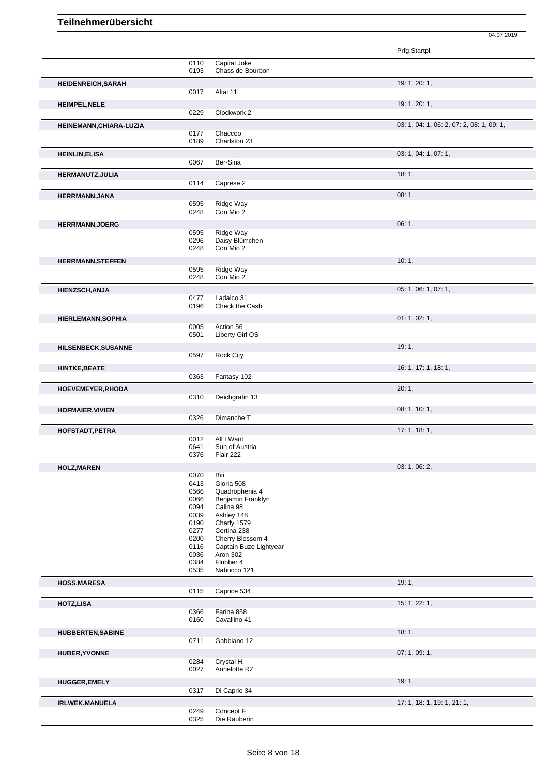Prfg:Startpl. 0110 Capital Joke<br>0193 Chass de Bo Chass de Bourbon **HEIDENREICH,SARAH** 19: 1, 20: 1, Altai 11 **HEIMPEL,NELE** 19: 1, 20: 1, 0229 Clockwork 2 **HEINEMANN, CHIARA-LUZIA** 03: 1, 04: 1, 06: 2, 07: 2, 08: 1, 09: 1, 09: 1, 09: 1, 09: 1, 09: 1, 09: 1, 09: 1, 09: 1, 09: 1, 09: 1, 09: 1, 09: 1, 09: 1, 09: 1, 09: 1, 09: 1, 09: 1, 09: 1, 09: 1, 09: 1, 09: 1, 09: 1, 09: 1, 0177 Chaccoo 0189 Charlston 23 **HEINLIN,ELISA** 03: 1, 04: 1, 07: 1, 0067 Ber-Sina **HERMANUTZ,JULIA** 18: 1, Caprese 2 **HERRMANN,JANA** 08: 1, 0595 Ridge Way 0595 Ridge Way<br>0248 Con Mio 2 Con Mio 2 **HERRMANN,JOERG** 06: 1, 0595 Ridge Way 0595 Ridge Way<br>0296 Daisy Blüm 0296 Daisy Blümchen<br>0248 Con Mio 2 Con Mio 2 **HERRMANN,STEFFEN** 10: 1, 2006 0595 Ridge Way 0595 Ridge Way<br>0248 Con Mio 2 Con Mio 2 **HIENZSCH,ANJA** 05: 1, 06: 1, 07: 1,<br>
0477 Ladalco 31 0477 Ladalco 31<br>0196 Check the 0 Check the Cash **HIERLEMANN, SOPHIA** 01: 1, 02: 1, 0005 Action 56<br>0501 Liberty Gi 0501 Liberty Girl OS **HILSENBECK,SUSANNE** 19: 1, 20: 1, 20: 1, 20: 1, 20: 1, 20: 1, 20: 1, 20: 1, 20: 1, 20: 1, 20: 1, 20: 1, 20: 1, 20: 1, 20: 1, 20: 1, 20: 1, 20: 1, 20: 1, 20: 1, 20: 1, 20: 1, 20: 1, 20: 1, 20: 1, 20: 1, 20: 2, 2, 2, 2, 2, 0597 Rock City **HINTKE,BEATE** 16: 1, 17: 1, 18: 1, 0363 Fantasy 102 **HOEVEMEYER,RHODA** 20: 1, 0310 Deichgräfin 13 **HOFMAIER, VIVIEN** 08: 1, 10: 1, 0326 Dimanche T **HOFSTADT,PETRA** 17: 1, 18: 1, 0012 All I Want<br>0641 Sun of Au 0641 Sun of Austria<br>0376 Flair 222 Flair 222 **HOLZ,MAREN** 03: 1, 06: 2, 06: 2, 06: 2, 06: 2, 06: 2, 06: 2, 05: 1, 06: 2, 05: 1, 06: 2, 05: 2, 05: 2, 05: 2, 05: 2, 05: 2, 05: 2, 05: 2, 05: 2, 05: 2, 05: 2, 05: 2, 05: 2, 05: 2, 05: 2, 05: 2, 05: 2, 05: 2, 05: 2, 05: 2, 0070<br>0413 0413 Gloria 508<br>0566 Quadrophe 0566 Quadrophenia 4<br>0066 Benjamin Frankl 0066 Benjamin Franklyn<br>0094 Calina 98 0094 Calina 98<br>0039 Ashley 14 0039 Ashley 148<br>0190 Charly 1579 0190 Charly 1579<br>0277 Cortina 238 0277 Cortina 238<br>0200 Cherry Bloss 0200 Cherry Blossom 4<br>0116 Captain Buze Ligh 0116 Captain Buze Lightyear<br>0036 Aron 302 0036 Aron 302<br>0384 Flubber 4 0384 Flubber 4<br>0535 Nabucco Nabucco 121 **HOSS,MARESA** 19: 1, Caprice 534 **HOTZ,LISA** 15: 1, 22: 1, 0366 Farina 858<br>0160 Cavallino 4 Cavallino 41 **HUBBERTEN,SABINE** 18: 1, 0711 Gabbiano 12 **HUBER, YVONNE** 0284 Crystal H. **COMPANY CONSUMERER, YVONNE** 07: 1, 09: 1, Crystal H. 0027 Annelotte RZ **HUGGER,EMELY** 19: 1, 200317 Di Caprio 34 Di Caprio 34 **IRLWEK,MANUELA** 17: 1, 18: 1, 19: 1, 21: 1, 19: 1, 21: 1, 21: 1, 21: 1, 21: 1, 21: 1, 21: 1, 21: 1, 21: 1, 21: 1, 21: 1, 20: 249 0249 Concept F<br>0325 Die Räube

04.07.2019

Die Räuberin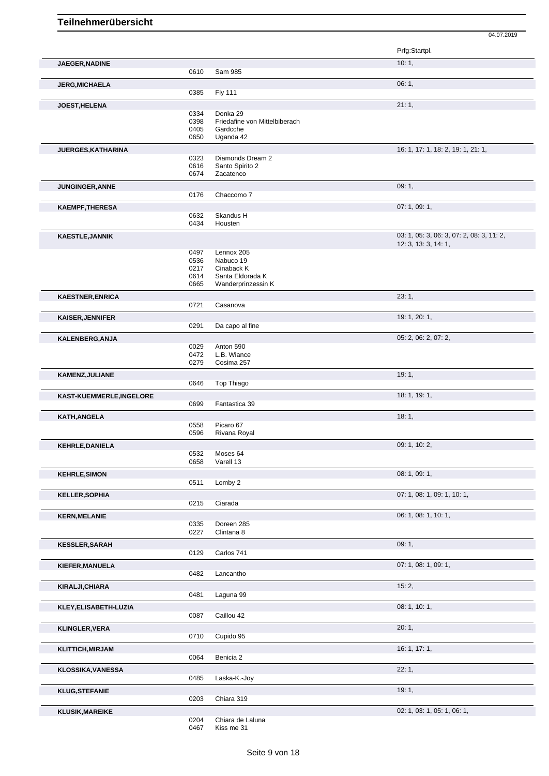04.07.2019 Prfg:Startpl. **JAEGER, NADINE** 10: 1, 0610 Sam 985 **JERG,MICHAELA** 06: 1, 0385 Fly 111 **JOEST,HELENA** 21: 1, 0334 Donka 29<br>0398 Friedafine Friedafine von Mittelbiberach 0405 Gardcche<br>0650 Uganda 4 Uganda 42 **JUERGES,KATHARINA** 16: 1, 17: 1, 18: 2, 19: 1, 21: 1, 0323 Diamonds Dream 2<br>0616 Santo Spirito 2 0616 Santo Spirito 2<br>0674 Zacatenco Zacatenco **JUNGINGER,ANNE** 09: 1, Chaccomo 7 **KAEMPF,THERESA** 07: 1, 09: 1, Skandus H 0434 Housten **KAESTLE,JANNIK** 03: 1, 05: 3, 06: 3, 07: 2, 08: 3, 11: 2, 12: 3, 13: 3, 14: 1, 0497 Lennox 205 0536 Nabuco 19 0217 Cinaback K<br>0614 Santa Eldora 0614 Santa Eldorada K<br>0665 Wanderprinzessin Wanderprinzessin K **KAESTNER,ENRICA** 23: 1, Casanova **KAISER, JENNIFER** 19: 1, 20: 1, 20: 1, 20: 1, 20: 1, 20: 1, 20: 1, 20: 1, 20: 1, 20: 1, 20: 1, 20: 1, 20: 1, 20: 1, Da capo al fine **KALENBERG,ANJA** 05: 2, 06: 2, 07: 2, 06: 2, 07: 2, 06: 2, 07: 2, 06: 2, 07: 2, 07: 2, 07: 2, 07: 2, 07: 2, 07: 2, 07: 2, 07: 2, 07: 2, 07: 2, 07: 2, 07: 2, 07: 2, 07: 2, 07: 2, 07: 2, 07: 2, 07: 2, 07: 2, 07: 2, 07: 2, 07 0029 Anton 590<br>0472 L.B. Wianc 0472 L.B. Wiance<br>0279 Cosima 257 Cosima 257 **KAMENZ,JULIANE** 19: 1, Top Thiago **KAST-KUEMMERLE,INGELORE** 18: 1, 19: 1, 19: 1, 19: 1, 19: 1, 19: 1, 19: 1, 19: 1, 19: 1, 19: 1, 19: 1, 19: 1, 19: 1, 19: 1, 19: 1, 19: 1, 19: 1, 19: 1, 19: 1, 19: 1, 19: 1, 19: 1, 19: 1, 19: 1, 19: 1, 19: 1, 19: 1, 19: 1, Fantastica 39 **KATH,ANGELA** 18: 1, 0558 Picaro 67<br>0596 Rivana Ro Rivana Royal **KEHRLE,DANIELA** 09: 1, 10: 2, 0532 Moses 64<br>0658 Varell 13 Varell 13 **KEHRLE,SIMON** 08: 1, 09: 1, 09: 1, 09: 1, 09: 1, 09: 1, 09: 1, 09: 1, 09: 1, 09: 1, 09: 1, 09: 1, 09: 1, 09: 1, 09: 1, 09: 1, 09: 1, 05: 1, 05: 1, 05: 1, 05: 1, 05: 1, 05: 1, 05: 1, 05: 1, 05: 1, 05: 1, 05: 05: 05: 05: 05 Lomby 2 **KELLER,SOPHIA** 07: 1, 08: 1, 09: 1, 10: 1, 09: 1, 10: 1, 09: 1, 10: 1, 09: 1, 10: 1, 09: 1, 10: 1, 09: 1, 10: 1, Ciarada **KERN,MELANIE** 06: 1, 08: 1, 10: 1, 0335 Doreen 285<br>0227 Clintana 8 Clintana 8 **KESSLER,SARAH** 09: 1, Carlos 741 **KIEFER,MANUELA** 07: 1, 08: 1, 09: 1, Lancantho **KIRALJI,CHIARA** 15: 2, Laguna 99 **KLEY,ELISABETH-LUZIA** 08: 1, 10: 1, Caillou 42 **KLINGLER,VERA** 20: 1, 0710 Cupido 95 **KLITTICH,MIRJAM** 16: 1, 17: 1, 0064 Benicia 2

**KLUSIK,MAREIKE** 0204 Chiara de Laluna 0204 Chiara de Laluna 02: 1, 03: 1, 03: 1, 05: 1, 06: 1,

Chiara de Laluna 0467 Kiss me 31

**KLOSSIKA,VANESSA** 22: 1, 0485 Laska-K.-Joy

**KLUG,STEFANIE** 19: 1, 2003 Chiara 319 Chiara 319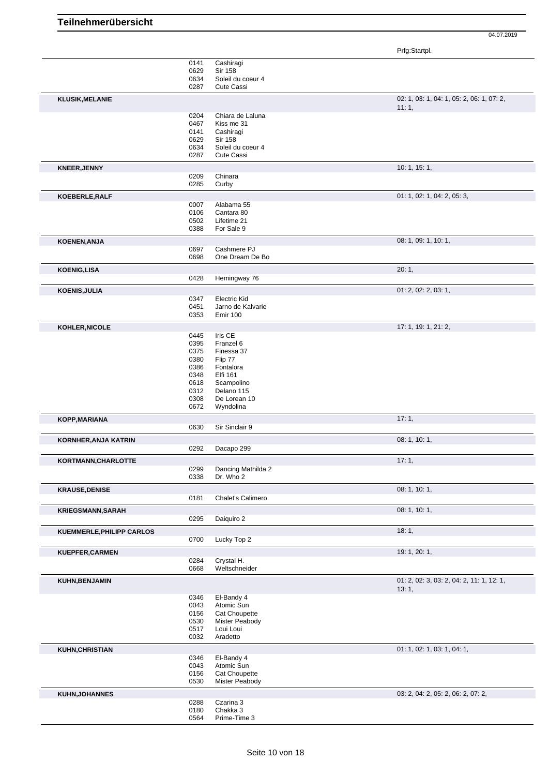|                             |      |                     | Prfg:Startpl.                                      |
|-----------------------------|------|---------------------|----------------------------------------------------|
|                             | 0141 | Cashiragi           |                                                    |
|                             | 0629 | <b>Sir 158</b>      |                                                    |
|                             | 0634 | Soleil du coeur 4   |                                                    |
|                             | 0287 | <b>Cute Cassi</b>   |                                                    |
| <b>KLUSIK, MELANIE</b>      |      |                     | 02: 1, 03: 1, 04: 1, 05: 2, 06: 1, 07: 2,<br>11:1, |
|                             | 0204 | Chiara de Laluna    |                                                    |
|                             | 0467 | Kiss me 31          |                                                    |
|                             | 0141 | Cashiragi           |                                                    |
|                             | 0629 | <b>Sir 158</b>      |                                                    |
|                             | 0634 | Soleil du coeur 4   |                                                    |
|                             | 0287 | <b>Cute Cassi</b>   |                                                    |
| <b>KNEER, JENNY</b>         |      |                     | 10: 1, 15: 1,                                      |
|                             | 0209 | Chinara             |                                                    |
|                             | 0285 | Curby               |                                                    |
| KOEBERLE, RALF              |      |                     | 01: 1, 02: 1, 04: 2, 05: 3,                        |
|                             | 0007 | Alabama 55          |                                                    |
|                             | 0106 | Cantara 80          |                                                    |
|                             | 0502 | Lifetime 21         |                                                    |
|                             | 0388 | For Sale 9          |                                                    |
| KOENEN, ANJA                |      |                     | 08: 1, 09: 1, 10: 1,                               |
|                             | 0697 | Cashmere PJ         |                                                    |
|                             | 0698 | One Dream De Bo     |                                                    |
| <b>KOENIG,LISA</b>          |      |                     | 20:1,                                              |
|                             | 0428 | Hemingway 76        |                                                    |
|                             |      |                     | 01: 2, 02: 2, 03: 1,                               |
| <b>KOENIS, JULIA</b>        | 0347 | <b>Electric Kid</b> |                                                    |
|                             | 0451 | Jarno de Kalvarie   |                                                    |
|                             | 0353 | <b>Emir 100</b>     |                                                    |
|                             |      |                     |                                                    |
| KOHLER, NICOLE              | 0445 | Iris CE             | 17: 1, 19: 1, 21: 2,                               |
|                             | 0395 | Franzel 6           |                                                    |
|                             | 0375 | Finessa 37          |                                                    |
|                             | 0380 | Flip 77             |                                                    |
|                             | 0386 | Fontalora           |                                                    |
|                             | 0348 | Elfi 161            |                                                    |
|                             | 0618 | Scampolino          |                                                    |
|                             | 0312 | Delano 115          |                                                    |
|                             | 0308 | De Lorean 10        |                                                    |
|                             | 0672 | Wyndolina           |                                                    |
| KOPP, MARIANA               |      |                     | 17:1,                                              |
|                             | 0630 | Sir Sinclair 9      |                                                    |
| <b>KORNHER, ANJA KATRIN</b> |      |                     | 08: 1, 10: 1,                                      |
|                             | 0292 | Dacapo 299          |                                                    |
|                             |      |                     |                                                    |
| KORTMANN, CHARLOTTE         | 0299 | Dancing Mathilda 2  | 17:1,                                              |
|                             | 0338 | Dr. Who 2           |                                                    |
|                             |      |                     |                                                    |
| <b>KRAUSE, DENISE</b>       |      |                     | 08: 1, 10: 1,                                      |
|                             | 0181 | Chalet's Calimero   |                                                    |
| <b>KRIEGSMANN, SARAH</b>    |      |                     | 08: 1, 10: 1,                                      |
|                             | 0295 | Daiguiro 2          |                                                    |
| KUEMMERLE, PHILIPP CARLOS   |      |                     | 18:1,                                              |
|                             | 0700 | Lucky Top 2         |                                                    |
| KUEPFER, CARMEN             |      |                     | 19: 1, 20: 1,                                      |
|                             | 0284 | Crystal H.          |                                                    |
|                             | 0668 | Weltschneider       |                                                    |
| KUHN, BENJAMIN              |      |                     | 01: 2, 02: 3, 03: 2, 04: 2, 11: 1, 12: 1,          |
|                             |      |                     | 13:1,                                              |
|                             | 0346 | El-Bandy 4          |                                                    |
|                             | 0043 | Atomic Sun          |                                                    |
|                             | 0156 | Cat Choupette       |                                                    |
|                             | 0530 | Mister Peabody      |                                                    |
|                             | 0517 | Loui Loui           |                                                    |
|                             | 0032 | Aradetto            |                                                    |
| KUHN, CHRISTIAN             |      |                     | 01: 1, 02: 1, 03: 1, 04: 1,                        |
|                             | 0346 | El-Bandy 4          |                                                    |
|                             | 0043 | Atomic Sun          |                                                    |
|                             | 0156 | Cat Choupette       |                                                    |
|                             | 0530 | Mister Peabody      |                                                    |
| <b>KUHN, JOHANNES</b>       |      |                     | 03: 2, 04: 2, 05: 2, 06: 2, 07: 2,                 |
|                             | 0288 | Czarina 3           |                                                    |
|                             | 0180 | Chakka 3            |                                                    |
|                             | 0564 | Prime-Time 3        |                                                    |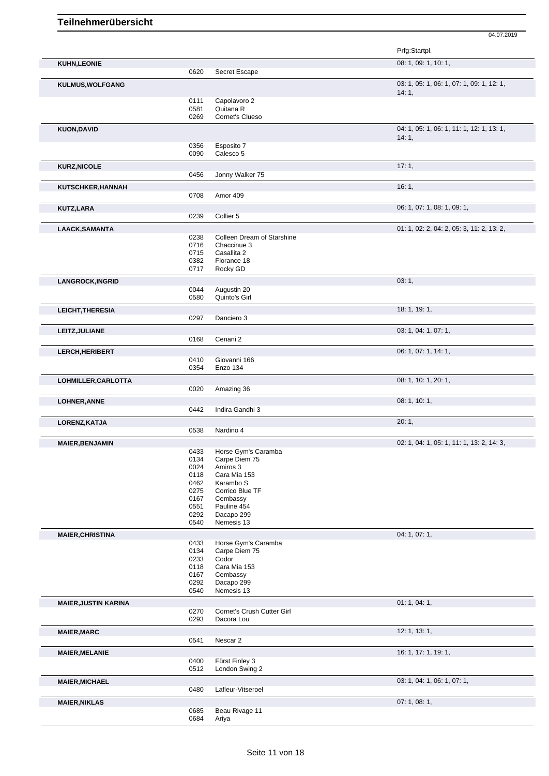04.07.2019 Prfg:Startpl. **KUHN,LEONIE** 08: 1, 09: 1, 10: 1, 0620 Secret Escape **KULMUS,WOLFGANG** 03: 1, 05: 1, 06: 1, 07: 1, 09: 1, 12: 1, 14: 1, 0111 Capolavoro 2<br>0581 Quitana R 0581 Quitana R<br>0269 Cornet's C 0269 Cornet's Clueso **KUON,DAVID** 04: 1, 05: 1, 06: 1, 11: 1, 12: 1, 13: 1, 14: 1, 0356 Esposito 7<br>0090 Calesco 5 Calesco 5 **KURZ,NICOLE** 17: 1, 0456 Jonny Walker 75 **KUTSCHKER,HANNAH** 16: 1, Amor 409 **KUTZ,LARA** 06: 1, 07: 1, 08: 1, 09: 1, 09: 1, 09: 1, 09: 1, 09: 1, 09: 1, 09: 1, 09: 1, 09: 1, 09: 1, 09: 1, 09: 1, 09: 1, 09: 1, 09: 1, 09: 1, 09: 1, 09: 1, 09: 1, 09: 1, 09: 1, 09: 1, 09: 1, 09: 1, 09: 1, 09: 1, 09: 1, Collier 5 **LAACK,SAMANTA** 01: 1, 02: 2, 04: 2, 05: 3, 11: 2, 13: 2, 0238 Colleen Dream of Starshine<br>0716 Chaccinue 3 0716 Chaccinue 3<br>0715 Casallita 2 0715 Casallita 2<br>0382 Florance 1 0382 Florance 18<br>0717 Rocky GD Rocky GD **LANGROCK,INGRID** 03: 1, 03: 1, 03: 03: 1, 03: 03: 03: 03: 044 Augustin 20 0044 Augustin 20<br>0580 Quinto's Girl Quinto's Girl **LEICHT,THERESIA** 18: 1, 19: 1, 19: 1, 19: 1, 19: 1, 19: 1, 19: 1, 19: 1, 19: 1, 19: 1, 19: 1, 19: 1, 19: 1, 19: 1, 0297 Danciero 3 **LEITZ,JULIANE** 03: 1, 04: 1, 07: 1, 0168 Cenani 2 **LERCH,HERIBERT** 06: 1, 07: 1, 14: 1, 0410 Giovanni 166<br>0354 Enzo 134 Enzo 134 **LOHMILLER,CARLOTTA** 08: 1, 10: 1, 20: 1, 0020 Amazing 36 **LOHNER,ANNE** 08: 1, 10: 1, 0442 Indira Gandhi 3 **LORENZ,KATJA** 20: 1, 0538 Nardino 4 **MAIER,BENJAMIN** 02: 1, 04: 1, 05: 1, 11: 1, 13: 2, 14: 3, 0433 Horse Gym's Caramba 0134 Carpe Diem 75 0024 Amiros 3 0118 Cara Mia 153<br>0462 Karambo S 0462 Karambo S<br>0275 Corrico Blue Corrico Blue TF 0167 Cembassy<br>0551 Pauline 454 0551 Pauline 454<br>0292 Dacapo 299 0292 Dacapo 299<br>0540 Nemesis 13 Nemesis 13 **MAIER, CHRISTINA** 04: 1, 07: 1, 07: 1, 07: 1, 07: 1, 07: 1, 07: 1, 07: 1, 07: 1, 07: 1, 07: 1, 07: 1, 07: 1, 07: 1, 0433 Horse Gym's Caramba<br>0134 Carpe Diem 75 0134 Carpe Diem 75<br>0233 Codor 0233 Codor<br>0118 Cara M 0118 Cara Mia 153<br>0167 Cembassy 0167 Cembassy<br>0292 Dacapo 29 0292 Dacapo 299<br>0540 Nemesis 13 Nemesis 13 **MAIER, JUSTIN KARINA** 01: 1, 04: 1, 04: 1, 04: 1, 04: 1, 04: 1, 04: 1, 04: 1, 04: 1, 04: 1, 04: 1, 04: 1, 04: 1, Cornet's Crush Cutter Girl 0293 Dacora Lou **MAIER,MARC** 12: 1, 13: 1, 0541 Nescar 2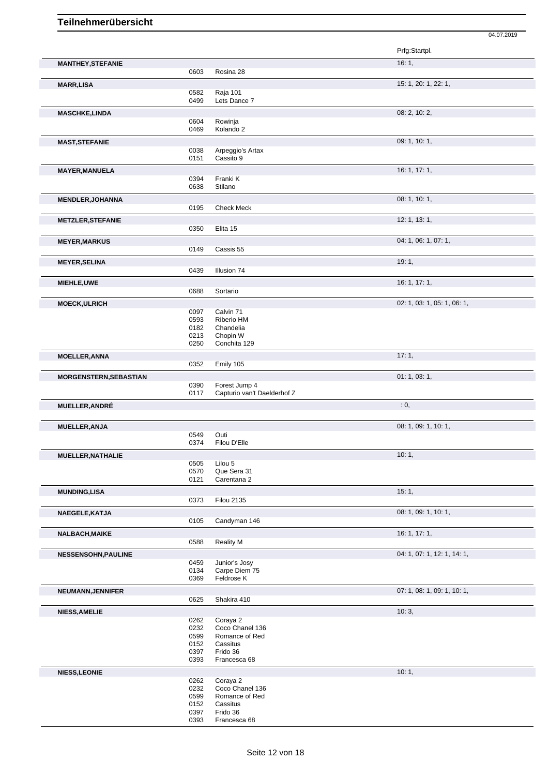|                               |              |                                   | 04.07.2019                  |
|-------------------------------|--------------|-----------------------------------|-----------------------------|
|                               |              |                                   | Prfg:Startpl.               |
| <b>MANTHEY, STEFANIE</b>      |              |                                   | 16:1,                       |
|                               | 0603         | Rosina 28                         |                             |
| <b>MARR,LISA</b>              | 0582         | Raja 101                          | 15: 1, 20: 1, 22: 1,        |
|                               | 0499         | Lets Dance 7                      |                             |
| <b>MASCHKE,LINDA</b>          |              |                                   | 08: 2, 10: 2,               |
|                               | 0604         | Rowinja                           |                             |
|                               | 0469         | Kolando 2                         |                             |
| <b>MAST, STEFANIE</b>         |              |                                   | 09: 1, 10: 1,               |
|                               | 0038         | Arpeggio's Artax                  |                             |
|                               | 0151         | Cassito 9                         |                             |
| <b>MAYER, MANUELA</b>         |              |                                   | 16: 1, 17: 1,               |
|                               | 0394<br>0638 | Franki K<br>Stilano               |                             |
|                               |              |                                   | 08: 1, 10: 1,               |
| <b>MENDLER, JOHANNA</b>       | 0195         | <b>Check Meck</b>                 |                             |
|                               |              |                                   | 12: 1, 13: 1,               |
| <b>METZLER, STEFANIE</b>      | 0350         | Elita 15                          |                             |
|                               |              |                                   |                             |
| <b>MEYER, MARKUS</b>          | 0149         | Cassis 55                         | 04: 1, 06: 1, 07: 1,        |
|                               |              |                                   |                             |
| <b>MEYER, SELINA</b>          | 0439         | Illusion 74                       | 19:1,                       |
|                               |              |                                   |                             |
| MIEHLE, UWE                   | 0688         | Sortario                          | 16: 1, 17: 1,               |
|                               |              |                                   |                             |
| <b>MOECK, ULRICH</b>          | 0097         | Calvin 71                         | 02: 1, 03: 1, 05: 1, 06: 1, |
|                               | 0593         | Riberio HM                        |                             |
|                               | 0182         | Chandelia                         |                             |
|                               | 0213         | Chopin W                          |                             |
|                               | 0250         | Conchita 129                      |                             |
| <b>MOELLER, ANNA</b>          |              |                                   | 17:1,                       |
|                               | 0352         | Emily 105                         |                             |
| <b>MORGENSTERN, SEBASTIAN</b> |              |                                   | 01: 1, 03: 1,               |
|                               | 0390         | Forest Jump 4                     |                             |
|                               | 0117         | Capturio van't Daelderhof Z       |                             |
| MUELLER, ANDRÉ                |              |                                   | : 0,                        |
| <b>MUELLER, ANJA</b>          |              |                                   | 08: 1, 09: 1, 10: 1,        |
|                               | 0549         | Outi                              |                             |
|                               | 0374         | Filou D'Elle                      |                             |
| MUELLER, NATHALIE             |              |                                   | 10:1,                       |
|                               | 0505         | Lilou 5                           |                             |
|                               | 0570         | Que Sera 31                       |                             |
|                               | 0121         | Carentana 2                       |                             |
| <b>MUNDING, LISA</b>          |              |                                   | 15:1,                       |
|                               | 0373         | <b>Filou 2135</b>                 |                             |
| NAEGELE, KATJA                |              |                                   | 08: 1, 09: 1, 10: 1,        |
|                               | 0105         | Candyman 146                      |                             |
| <b>NALBACH, MAIKE</b>         |              |                                   | 16: 1, 17: 1,               |
|                               | 0588         | <b>Reality M</b>                  |                             |
| <b>NESSENSOHN, PAULINE</b>    |              |                                   | 04: 1, 07: 1, 12: 1, 14: 1, |
|                               | 0459         | Junior's Josy                     |                             |
|                               | 0134<br>0369 | Carpe Diem 75<br>Feldrose K       |                             |
|                               |              |                                   |                             |
| NEUMANN, JENNIFER             | 0625         | Shakira 410                       | 07: 1, 08: 1, 09: 1, 10: 1, |
|                               |              |                                   |                             |
| <b>NIESS, AMELIE</b>          | 0262         | Coraya 2                          | 10:3,                       |
|                               | 0232         | Coco Chanel 136                   |                             |
|                               | 0599         | Romance of Red                    |                             |
|                               | 0152         | Cassitus                          |                             |
|                               | 0397         | Frido 36                          |                             |
|                               | 0393         | Francesca 68                      |                             |
| <b>NIESS, LEONIE</b>          |              |                                   | 10:1,                       |
|                               | 0262         | Coraya 2                          |                             |
|                               | 0232<br>0599 | Coco Chanel 136<br>Romance of Red |                             |
|                               | 0152         | Cassitus                          |                             |
|                               | 0397         | Frido 36                          |                             |
|                               | 0393         | Francesca 68                      |                             |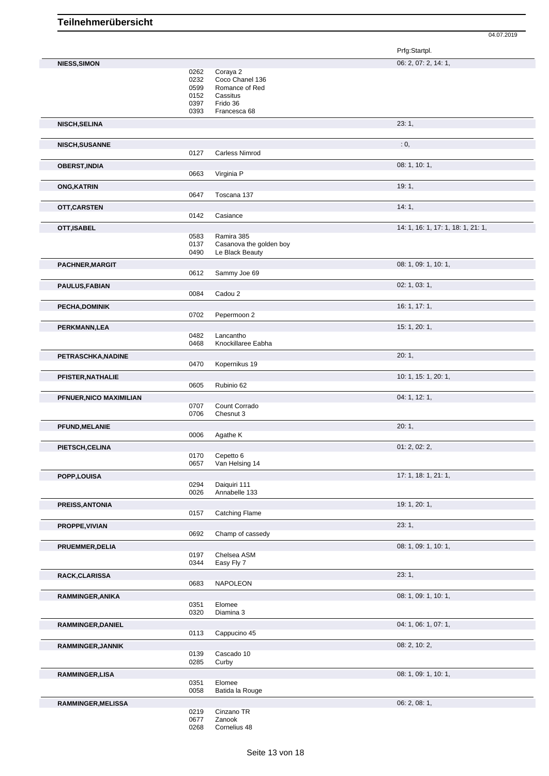| Prfg:Startpl. |  |
|---------------|--|
|---------------|--|

|                         |              |                                 | . <del>.</del>                     |
|-------------------------|--------------|---------------------------------|------------------------------------|
| <b>NIESS, SIMON</b>     |              |                                 | 06: 2, 07: 2, 14: 1,               |
|                         | 0262         | Coraya 2                        |                                    |
|                         | 0232         | Coco Chanel 136                 |                                    |
|                         | 0599         | Romance of Red                  |                                    |
|                         | 0152         | Cassitus                        |                                    |
|                         | 0397         | Frido 36                        |                                    |
|                         | 0393         | Francesca 68                    |                                    |
| <b>NISCH, SELINA</b>    |              |                                 | 23:1,                              |
|                         |              |                                 |                                    |
| NISCH, SUSANNE          |              |                                 | : 0,                               |
|                         | 0127         | Carless Nimrod                  |                                    |
| <b>OBERST, INDIA</b>    |              |                                 | 08: 1, 10: 1,                      |
|                         | 0663         | Virginia P                      |                                    |
| <b>ONG, KATRIN</b>      |              |                                 | 19:1,                              |
|                         | 0647         | Toscana 137                     |                                    |
| OTT, CARSTEN            |              |                                 | 14:1,                              |
|                         | 0142         | Casiance                        |                                    |
| OTT, ISABEL             |              |                                 | 14: 1, 16: 1, 17: 1, 18: 1, 21: 1, |
|                         | 0583         | Ramira 385                      |                                    |
|                         | 0137         | Casanova the golden boy         |                                    |
|                         | 0490         | Le Black Beauty                 |                                    |
| PACHNER, MARGIT         |              |                                 | 08: 1, 09: 1, 10: 1,               |
|                         | 0612         | Sammy Joe 69                    |                                    |
| <b>PAULUS, FABIAN</b>   | 0084         | Cadou 2                         | 02: 1, 03: 1,                      |
|                         |              |                                 |                                    |
| <b>PECHA, DOMINIK</b>   | 0702         | Pepermoon 2                     | 16: 1, 17: 1,                      |
|                         |              |                                 |                                    |
| PERKMANN, LEA           |              |                                 | 15: 1, 20: 1,                      |
|                         | 0482<br>0468 | Lancantho<br>Knockillaree Eabha |                                    |
|                         |              |                                 |                                    |
| PETRASCHKA, NADINE      |              |                                 | 20:1,                              |
|                         | 0470         | Kopernikus 19                   |                                    |
| PFISTER, NATHALIE       |              |                                 | 10: 1, 15: 1, 20: 1,               |
|                         | 0605         | Rubinio 62                      |                                    |
| PFNUER, NICO MAXIMILIAN |              |                                 | 04: 1, 12: 1,                      |
|                         | 0707         | Count Corrado                   |                                    |
|                         | 0706         | Chesnut 3                       |                                    |
| PFUND, MELANIE          | 0006         | Agathe K                        | 20:1,                              |
|                         |              |                                 | 01: 2, 02: 2,                      |
| PIETSCH, CELINA         | 0170         | Cepetto 6                       |                                    |
|                         | 0657         | Van Helsing 14                  |                                    |
| POPP, LOUISA            |              |                                 | 17: 1, 18: 1, 21: 1,               |
|                         | 0294         | Daiquiri 111                    |                                    |
|                         | 0026         | Annabelle 133                   |                                    |
| PREISS, ANTONIA         |              |                                 | 19: 1, 20: 1,                      |
|                         | 0157         | <b>Catching Flame</b>           |                                    |
| PROPPE, VIVIAN          |              |                                 | 23:1,                              |
|                         | 0692         | Champ of cassedy                |                                    |
| PRUEMMER, DELIA         |              |                                 | 08: 1, 09: 1, 10: 1,               |
|                         | 0197         | Chelsea ASM                     |                                    |
|                         | 0344         | Easy Fly 7                      |                                    |
| RACK, CLARISSA          |              |                                 | 23:1,                              |
|                         | 0683         | <b>NAPOLEON</b>                 |                                    |
| RAMMINGER, ANIKA        |              |                                 | 08: 1, 09: 1, 10: 1,               |
|                         | 0351         | Elomee                          |                                    |
|                         | 0320         | Diamina 3                       |                                    |
| RAMMINGER, DANIEL       |              |                                 | 04: 1, 06: 1, 07: 1,               |
|                         | 0113         | Cappucino 45                    |                                    |
| RAMMINGER, JANNIK       |              |                                 | 08: 2, 10: 2,                      |
|                         | 0139<br>0285 | Cascado 10                      |                                    |
|                         |              | Curby                           |                                    |
| RAMMINGER, LISA         | 0351         | Elomee                          | 08: 1, 09: 1, 10: 1,               |
|                         | 0058         | Batida la Rouge                 |                                    |
| RAMMINGER, MELISSA      |              |                                 | 06: 2, 08: 1,                      |
|                         | 0219         | Cinzano TR                      |                                    |
|                         | 0677         | Zanook                          |                                    |
|                         |              |                                 |                                    |

0268 Cornelius 48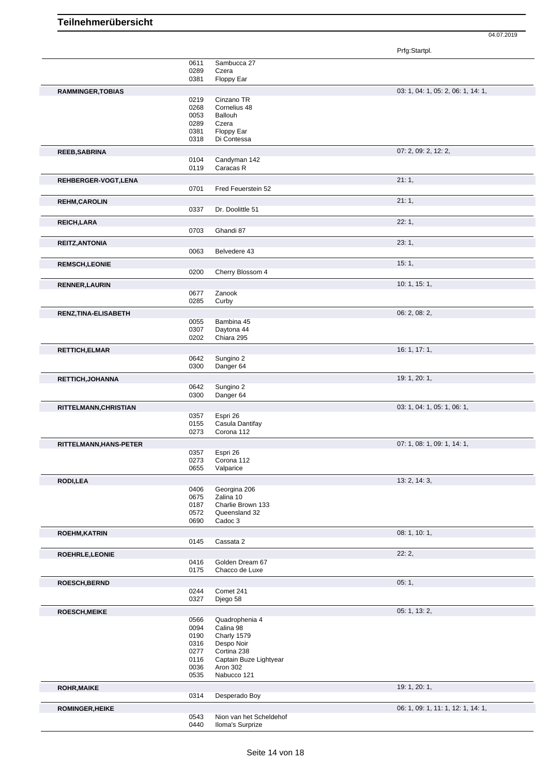|                          |      |                         | $\ldots$ g $\ldots$ $\ldots$       |
|--------------------------|------|-------------------------|------------------------------------|
|                          | 0611 | Sambucca 27             |                                    |
|                          | 0289 | Czera                   |                                    |
|                          | 0381 | Floppy Ear              |                                    |
|                          |      |                         |                                    |
| <b>RAMMINGER, TOBIAS</b> |      |                         | 03: 1, 04: 1, 05: 2, 06: 1, 14: 1, |
|                          | 0219 | Cinzano TR              |                                    |
|                          | 0268 | Cornelius 48            |                                    |
|                          | 0053 | Ballouh                 |                                    |
|                          | 0289 | Czera                   |                                    |
|                          | 0381 | Floppy Ear              |                                    |
|                          | 0318 | Di Contessa             |                                    |
|                          |      |                         |                                    |
| <b>REEB, SABRINA</b>     |      |                         | 07: 2, 09: 2, 12: 2,               |
|                          | 0104 | Candyman 142            |                                    |
|                          | 0119 | Caracas R               |                                    |
|                          |      |                         |                                    |
| REHBERGER-VOGT,LENA      |      |                         | 21:1,                              |
|                          | 0701 | Fred Feuerstein 52      |                                    |
|                          |      |                         | 21:1,                              |
| <b>REHM, CAROLIN</b>     |      |                         |                                    |
|                          | 0337 | Dr. Doolittle 51        |                                    |
| REICH, LARA              |      |                         | 22:1,                              |
|                          | 0703 | Ghandi 87               |                                    |
|                          |      |                         |                                    |
| <b>REITZ, ANTONIA</b>    |      |                         | 23:1,                              |
|                          | 0063 | Belvedere 43            |                                    |
|                          |      |                         |                                    |
| <b>REMSCH,LEONIE</b>     |      |                         | 15:1,                              |
|                          | 0200 | Cherry Blossom 4        |                                    |
| <b>RENNER, LAURIN</b>    |      |                         | 10: 1, 15: 1,                      |
|                          |      |                         |                                    |
|                          | 0677 | Zanook                  |                                    |
|                          | 0285 | Curby                   |                                    |
| RENZ, TINA-ELISABETH     |      |                         | 06: 2, 08: 2,                      |
|                          | 0055 | Bambina 45              |                                    |
|                          | 0307 | Daytona 44              |                                    |
|                          | 0202 | Chiara 295              |                                    |
|                          |      |                         |                                    |
| <b>RETTICH, ELMAR</b>    |      |                         | 16: 1, 17: 1,                      |
|                          | 0642 | Sungino 2               |                                    |
|                          | 0300 | Danger 64               |                                    |
|                          |      |                         |                                    |
| <b>RETTICH, JOHANNA</b>  |      |                         | 19: 1, 20: 1,                      |
|                          | 0642 | Sungino 2               |                                    |
|                          | 0300 | Danger 64               |                                    |
|                          |      |                         | 03: 1, 04: 1, 05: 1, 06: 1,        |
| RITTELMANN, CHRISTIAN    |      |                         |                                    |
|                          | 0357 | Espri 26                |                                    |
|                          | 0155 | Casula Dantifay         |                                    |
|                          | 0273 | Corona 112              |                                    |
| RITTELMANN, HANS-PETER   |      |                         | 07: 1, 08: 1, 09: 1, 14: 1,        |
|                          | 0357 | Espri 26                |                                    |
|                          | 0273 | Corona 112              |                                    |
|                          | 0655 | Valparice               |                                    |
|                          |      |                         |                                    |
| <b>RODI,LEA</b>          |      |                         | 13: 2, 14: 3,                      |
|                          | 0406 | Georgina 206            |                                    |
|                          | 0675 | Zalina 10               |                                    |
|                          | 0187 | Charlie Brown 133       |                                    |
|                          | 0572 | Queensland 32           |                                    |
|                          | 0690 | Cadoc 3                 |                                    |
|                          |      |                         |                                    |
| <b>ROEHM, KATRIN</b>     |      |                         | 08: 1, 10: 1,                      |
|                          | 0145 | Cassata 2               |                                    |
|                          |      |                         | 22:2,                              |
| ROEHRLE, LEONIE          |      |                         |                                    |
|                          | 0416 | Golden Dream 67         |                                    |
|                          | 0175 | Chacco de Luxe          |                                    |
| <b>ROESCH, BERND</b>     |      |                         | 05:1,                              |
|                          | 0244 | Comet 241               |                                    |
|                          | 0327 | Djego 58                |                                    |
|                          |      |                         |                                    |
| <b>ROESCH, MEIKE</b>     |      |                         | 05: 1, 13: 2,                      |
|                          | 0566 | Quadrophenia 4          |                                    |
|                          | 0094 | Calina 98               |                                    |
|                          | 0190 | Charly 1579             |                                    |
|                          | 0316 | Despo Noir              |                                    |
|                          | 0277 | Cortina 238             |                                    |
|                          |      |                         |                                    |
|                          | 0116 | Captain Buze Lightyear  |                                    |
|                          | 0036 | Aron 302                |                                    |
|                          | 0535 | Nabucco 121             |                                    |
| <b>ROHR, MAIKE</b>       |      |                         | 19: 1, 20: 1,                      |
|                          |      |                         |                                    |
|                          | 0314 | Desperado Boy           |                                    |
| <b>ROMINGER, HEIKE</b>   |      |                         | 06: 1, 09: 1, 11: 1, 12: 1, 14: 1, |
|                          | 0543 | Nion van het Scheldehof |                                    |
|                          | 0440 | Iloma's Surprize        |                                    |
|                          |      |                         |                                    |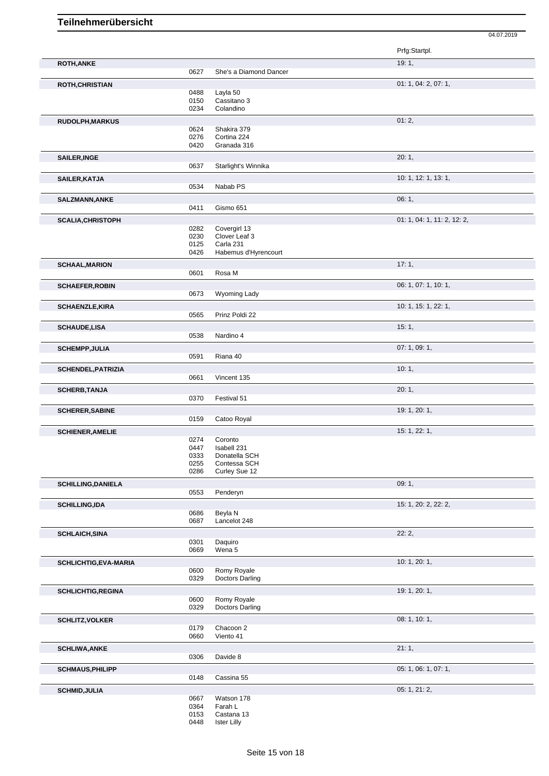|                              |              |                               | Prfg:Startpl.               |
|------------------------------|--------------|-------------------------------|-----------------------------|
| <b>ROTH, ANKE</b>            |              |                               | 19:1,                       |
|                              | 0627         | She's a Diamond Dancer        |                             |
| <b>ROTH, CHRISTIAN</b>       |              |                               | 01: 1, 04: 2, 07: 1,        |
|                              | 0488         | Layla 50                      |                             |
|                              | 0150         | Cassitano 3                   |                             |
|                              | 0234         | Colandino                     |                             |
| RUDOLPH, MARKUS              |              |                               | 01:2,                       |
|                              | 0624<br>0276 | Shakira 379<br>Cortina 224    |                             |
|                              | 0420         | Granada 316                   |                             |
|                              |              |                               | 20:1,                       |
| <b>SAILER, INGE</b>          | 0637         | Starlight's Winnika           |                             |
|                              |              |                               |                             |
| SAILER, KATJA                | 0534         | Nabab PS                      | 10: 1, 12: 1, 13: 1,        |
|                              |              |                               |                             |
| <b>SALZMANN, ANKE</b>        | 0411         | Gismo 651                     | 06:1,                       |
|                              |              |                               |                             |
| <b>SCALIA, CHRISTOPH</b>     |              |                               | 01: 1, 04: 1, 11: 2, 12: 2, |
|                              | 0282<br>0230 | Covergirl 13<br>Clover Leaf 3 |                             |
|                              | 0125         | Carla 231                     |                             |
|                              | 0426         | Habemus d'Hyrencourt          |                             |
| <b>SCHAAL, MARION</b>        |              |                               | 17:1,                       |
|                              | 0601         | Rosa M                        |                             |
| <b>SCHAEFER, ROBIN</b>       |              |                               | 06: 1, 07: 1, 10: 1,        |
|                              | 0673         | Wyoming Lady                  |                             |
| <b>SCHAENZLE, KIRA</b>       |              |                               | 10: 1, 15: 1, 22: 1,        |
|                              | 0565         | Prinz Poldi 22                |                             |
| <b>SCHAUDE,LISA</b>          |              |                               | 15:1,                       |
|                              | 0538         | Nardino 4                     |                             |
| <b>SCHEMPP, JULIA</b>        |              |                               | 07: 1, 09: 1,               |
|                              | 0591         | Riana 40                      |                             |
| <b>SCHENDEL, PATRIZIA</b>    |              |                               | 10:1,                       |
|                              | 0661         | Vincent 135                   |                             |
| <b>SCHERB, TANJA</b>         |              |                               | 20:1,                       |
|                              | 0370         | Festival 51                   |                             |
| <b>SCHERER, SABINE</b>       |              |                               | 19: 1, 20: 1,               |
|                              | 0159         | Catoo Royal                   |                             |
| <b>SCHIENER, AMELIE</b>      |              |                               | 15: 1, 22: 1,               |
|                              | 0274         | Coronto                       |                             |
|                              | 0447         | Isabell 231                   |                             |
|                              | 0333         | Donatella SCH                 |                             |
|                              | 0255<br>0286 | Contessa SCH<br>Curley Sue 12 |                             |
|                              |              |                               |                             |
| <b>SCHILLING, DANIELA</b>    | 0553         | Penderyn                      | 09:1,                       |
|                              |              |                               |                             |
| <b>SCHILLING,IDA</b>         | 0686         | Beyla N                       | 15: 1, 20: 2, 22: 2,        |
|                              | 0687         | Lancelot 248                  |                             |
|                              |              |                               | 22:2,                       |
| <b>SCHLAICH, SINA</b>        | 0301         | Daquiro                       |                             |
|                              | 0669         | Wena 5                        |                             |
|                              |              |                               | 10:1, 20:1,                 |
| <b>SCHLICHTIG, EVA-MARIA</b> | 0600         | Romy Royale                   |                             |
|                              | 0329         | <b>Doctors Darling</b>        |                             |
| <b>SCHLICHTIG, REGINA</b>    |              |                               | 19: 1, 20: 1,               |
|                              | 0600         | Romy Royale                   |                             |
|                              | 0329         | <b>Doctors Darling</b>        |                             |
| <b>SCHLITZ, VOLKER</b>       |              |                               | 08: 1, 10: 1,               |
|                              | 0179         | Chacoon 2<br>Viento 41        |                             |
|                              | 0660         |                               |                             |
| <b>SCHLIWA, ANKE</b>         |              |                               | 21:1,                       |
|                              | 0306         | Davide 8                      |                             |
| <b>SCHMAUS, PHILIPP</b>      |              |                               | 05: 1, 06: 1, 07: 1,        |
|                              | 0148         | Cassina 55                    |                             |
| <b>SCHMID, JULIA</b>         |              |                               | 05: 1, 21: 2,               |
|                              | 0667         | Watson 178                    |                             |
|                              | 0364<br>0153 | Farah L<br>Castana 13         |                             |
|                              | 0448         | <b>Ister Lilly</b>            |                             |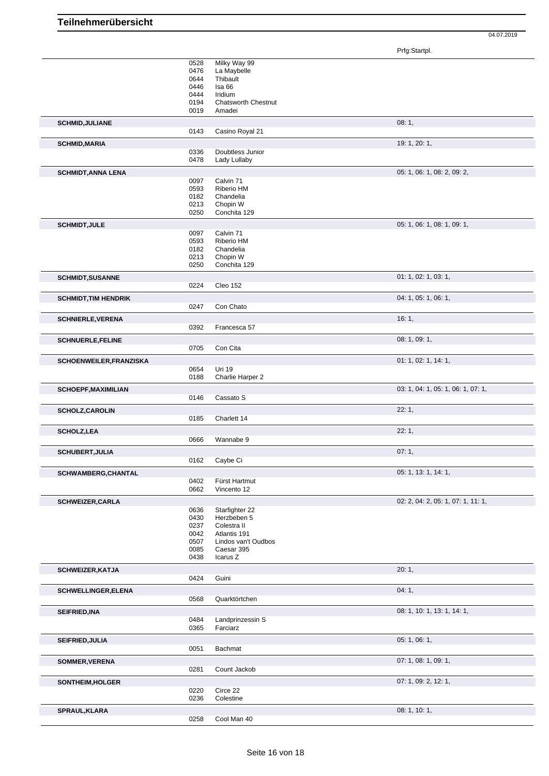Prfg:Startpl.

|                                               | 0528<br>0476<br>0644<br>0446<br>0444<br>0194<br>0019 | Milky Way 99<br>La Maybelle<br>Thibault<br>Isa 66<br>Iridium<br><b>Chatsworth Chestnut</b><br>Amadei          |                                    |
|-----------------------------------------------|------------------------------------------------------|---------------------------------------------------------------------------------------------------------------|------------------------------------|
| <b>SCHMID, JULIANE</b>                        | 0143                                                 | Casino Royal 21                                                                                               | 08:1,                              |
| <b>SCHMID, MARIA</b>                          | 0336<br>0478                                         | Doubtless Junior<br>Lady Lullaby                                                                              | 19: 1, 20: 1,                      |
| <b>SCHMIDT, ANNA LENA</b>                     | 0097<br>0593<br>0182<br>0213<br>0250                 | Calvin 71<br>Riberio HM<br>Chandelia<br>Chopin W<br>Conchita 129                                              | 05: 1, 06: 1, 08: 2, 09: 2,        |
| <b>SCHMIDT, JULE</b>                          | 0097<br>0593<br>0182<br>0213<br>0250                 | Calvin 71<br>Riberio HM<br>Chandelia<br>Chopin W<br>Conchita 129                                              | 05: 1, 06: 1, 08: 1, 09: 1,        |
| <b>SCHMIDT, SUSANNE</b>                       | 0224                                                 | Cleo 152                                                                                                      | 01: 1, 02: 1, 03: 1,               |
| <b>SCHMIDT, TIM HENDRIK</b>                   | 0247                                                 | Con Chato                                                                                                     | 04: 1, 05: 1, 06: 1,               |
| <b>SCHNIERLE, VERENA</b>                      | 0392                                                 | Francesca 57                                                                                                  | 16:1,                              |
| <b>SCHNUERLE,FELINE</b>                       | 0705                                                 | Con Cita                                                                                                      | 08: 1, 09: 1,                      |
| SCHOENWEILER, FRANZISKA                       | 0654<br>0188                                         | Uri 19<br>Charlie Harper 2                                                                                    | 01: 1, 02: 1, 14: 1,               |
| <b>SCHOEPF, MAXIMILIAN</b>                    | 0146                                                 | Cassato S                                                                                                     | 03: 1, 04: 1, 05: 1, 06: 1, 07: 1, |
| <b>SCHOLZ, CAROLIN</b>                        | 0185                                                 | Charlett 14                                                                                                   | 22:1,                              |
| <b>SCHOLZ, LEA</b>                            | 0666                                                 | Wannabe 9                                                                                                     | 22:1,                              |
| <b>SCHUBERT, JULIA</b><br>SCHWAMBERG, CHANTAL | 0162                                                 | Caybe Ci                                                                                                      | 07:1,<br>05: 1, 13: 1, 14: 1,      |
|                                               | 0402<br>0662                                         | Fürst Hartmut<br>Vincento 12                                                                                  |                                    |
| <b>SCHWEIZER, CARLA</b>                       | 0636<br>0430<br>0237<br>0042<br>0507<br>0085<br>0438 | Starfighter 22<br>Herzbeben 5<br>Colestra II<br>Atlantis 191<br>Lindos van't Oudbos<br>Caesar 395<br>Icarus Z | 02: 2, 04: 2, 05: 1, 07: 1, 11: 1, |
| SCHWEIZER, KATJA                              | 0424                                                 | Guini                                                                                                         | 20:1,                              |
| <b>SCHWELLINGER, ELENA</b>                    | 0568                                                 | Quarktörtchen                                                                                                 | 04:1,                              |
| SEIFRIED, INA                                 | 0484<br>0365                                         | Landprinzessin S<br>Farciarz                                                                                  | 08: 1, 10: 1, 13: 1, 14: 1,        |
| SEIFRIED, JULIA                               | 0051                                                 | Bachmat                                                                                                       | 05: 1, 06: 1,                      |
| SOMMER, VERENA                                | 0281                                                 | Count Jackob                                                                                                  | 07: 1, 08: 1, 09: 1,               |
| SONTHEIM, HOLGER                              | 0220<br>0236                                         | Circe 22<br>Colestine                                                                                         | 07: 1, 09: 2, 12: 1,               |
| SPRAUL, KLARA                                 | 0258                                                 | Cool Man 40                                                                                                   | 08: 1, 10: 1,                      |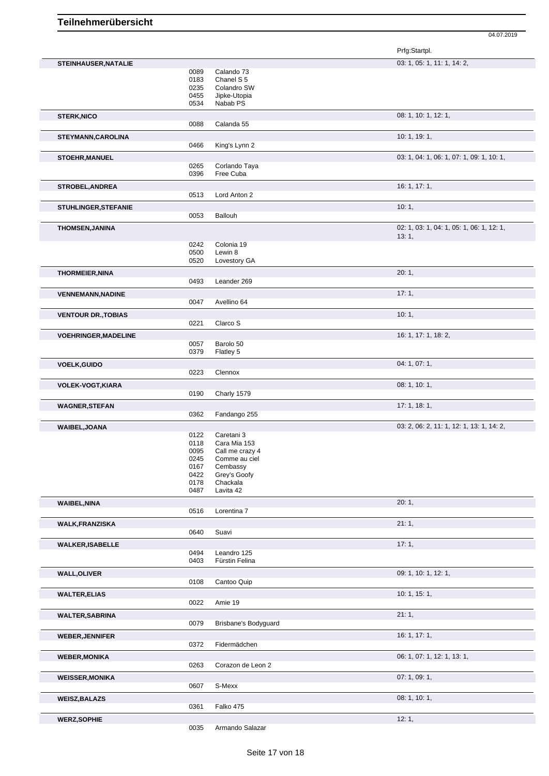|                             |              |                          | Prfg:Startpl.                             |
|-----------------------------|--------------|--------------------------|-------------------------------------------|
| STEINHAUSER, NATALIE        |              |                          | 03: 1, 05: 1, 11: 1, 14: 2,               |
|                             | 0089         | Calando 73               |                                           |
|                             | 0183         | Chanel S <sub>5</sub>    |                                           |
|                             | 0235         | Colandro SW              |                                           |
|                             | 0455         | Jipke-Utopia             |                                           |
|                             | 0534         | Nabab PS                 |                                           |
| <b>STERK, NICO</b>          | 0088         | Calanda 55               | 08: 1, 10: 1, 12: 1,                      |
|                             |              |                          | 10: 1, 19: 1,                             |
| STEYMANN, CAROLINA          | 0466         | King's Lynn 2            |                                           |
| <b>STOEHR, MANUEL</b>       |              |                          | 03: 1, 04: 1, 06: 1, 07: 1, 09: 1, 10: 1, |
|                             | 0265         | Corlando Taya            |                                           |
|                             | 0396         | Free Cuba                |                                           |
| <b>STROBEL, ANDREA</b>      |              |                          | 16: 1, 17: 1,                             |
|                             | 0513         | Lord Anton 2             |                                           |
| <b>STUHLINGER, STEFANIE</b> |              |                          | 10:1,                                     |
|                             | 0053         | Ballouh                  |                                           |
| <b>THOMSEN, JANINA</b>      |              |                          | 02: 1, 03: 1, 04: 1, 05: 1, 06: 1, 12: 1, |
|                             |              |                          | 13:1,                                     |
|                             | 0242<br>0500 | Colonia 19<br>Lewin 8    |                                           |
|                             | 0520         | Lovestory GA             |                                           |
|                             |              |                          | 20:1,                                     |
| <b>THORMEIER, NINA</b>      | 0493         | Leander 269              |                                           |
|                             |              |                          |                                           |
| <b>VENNEMANN, NADINE</b>    | 0047         | Avellino 64              | 17:1,                                     |
|                             |              |                          |                                           |
| <b>VENTOUR DR., TOBIAS</b>  | 0221         | Clarco S                 | 10:1,                                     |
|                             |              |                          |                                           |
| <b>VOEHRINGER, MADELINE</b> | 0057         | Barolo 50                | 16: 1, 17: 1, 18: 2,                      |
|                             | 0379         | Flatley 5                |                                           |
| <b>VOELK, GUIDO</b>         |              |                          | 04: 1, 07: 1,                             |
|                             | 0223         | Clennox                  |                                           |
|                             |              |                          | 08: 1, 10: 1,                             |
| <b>VOLEK-VOGT, KIARA</b>    | 0190         | Charly 1579              |                                           |
| <b>WAGNER, STEFAN</b>       |              |                          | 17:1, 18:1,                               |
|                             | 0362         | Fandango 255             |                                           |
| WAIBEL, JOANA               |              |                          | 03: 2, 06: 2, 11: 1, 12: 1, 13: 1, 14: 2, |
|                             | 0122         | Caretani 3               |                                           |
|                             | 0118         | Cara Mia 153             |                                           |
|                             | 0095         | Call me crazy 4          |                                           |
|                             | 0245         | Comme au ciel            |                                           |
|                             | 0167         | Cembassy                 |                                           |
|                             | 0422<br>0178 | Grey's Goofy<br>Chackala |                                           |
|                             | 0487         | Lavita 42                |                                           |
| <b>WAIBEL, NINA</b>         |              |                          | 20:1,                                     |
|                             | 0516         | Lorentina 7              |                                           |
| <b>WALK, FRANZISKA</b>      |              |                          | 21:1,                                     |
|                             | 0640         | Suavi                    |                                           |
| <b>WALKER, ISABELLE</b>     |              |                          | 17:1,                                     |
|                             | 0494         | Leandro 125              |                                           |
|                             | 0403         | Fürstin Felina           |                                           |
| <b>WALL, OLIVER</b>         |              |                          | 09: 1, 10: 1, 12: 1,                      |
|                             | 0108         | Cantoo Quip              |                                           |
| <b>WALTER, ELIAS</b>        |              |                          | 10: 1, 15: 1,                             |
|                             | 0022         | Amie 19                  |                                           |
| <b>WALTER, SABRINA</b>      |              |                          | 21:1,                                     |
|                             | 0079         | Brisbane's Bodyguard     |                                           |
| <b>WEBER, JENNIFER</b>      |              |                          | 16: 1, 17: 1,                             |
|                             | 0372         | Fidermädchen             |                                           |
| <b>WEBER, MONIKA</b>        |              |                          | 06: 1, 07: 1, 12: 1, 13: 1,               |
|                             | 0263         | Corazon de Leon 2        |                                           |
| <b>WEISSER, MONIKA</b>      |              |                          | 07: 1, 09: 1,                             |
|                             | 0607         | S-Mexx                   |                                           |
| <b>WEISZ, BALAZS</b>        |              |                          | 08: 1, 10: 1,                             |
|                             | 0361         | Falko 475                |                                           |
| <b>WERZ, SOPHIE</b>         |              |                          | 12:1,                                     |
|                             | 0035         | Armando Salazar          |                                           |
|                             |              |                          |                                           |